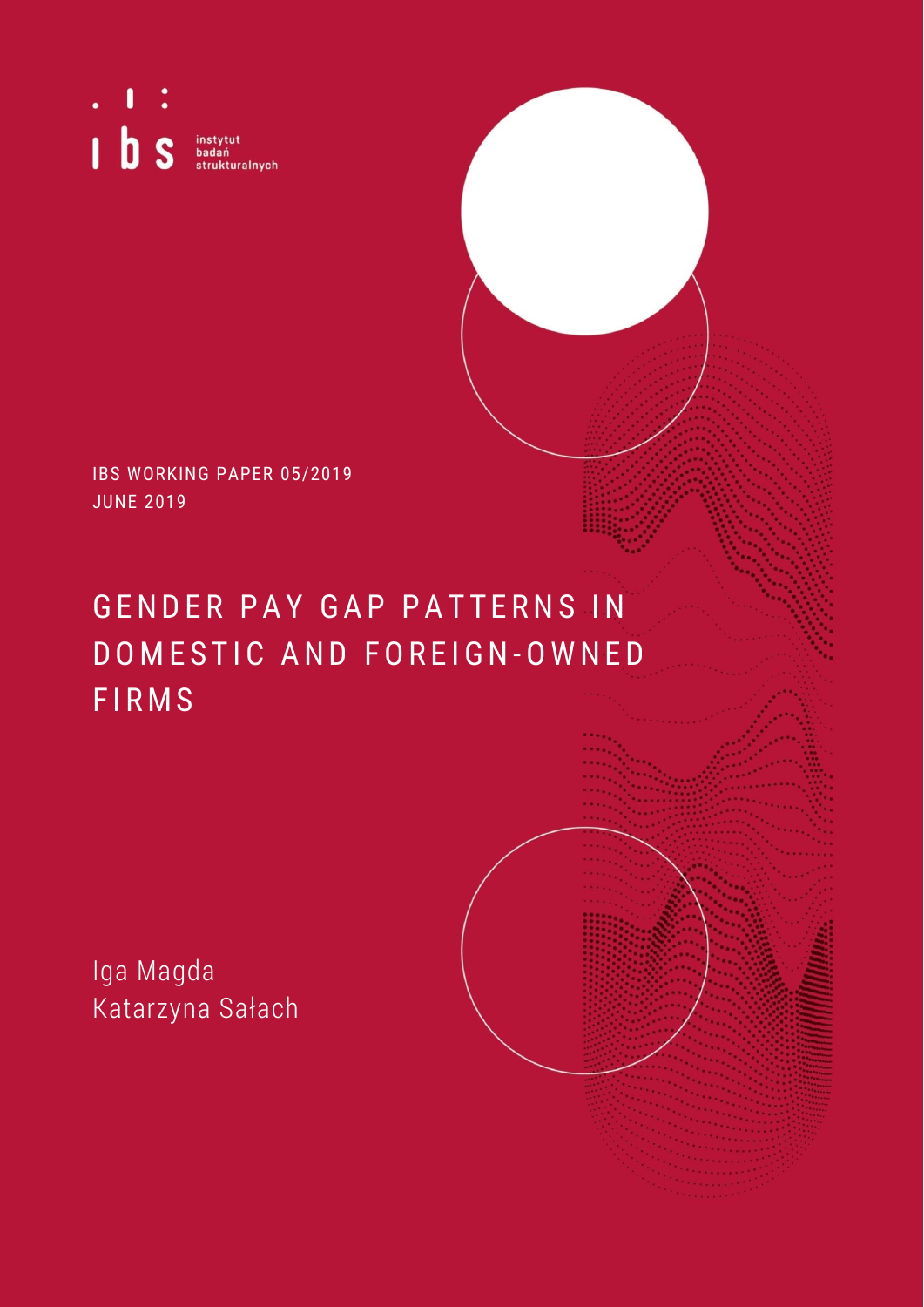Π  $1<sub>b</sub> s$ instytut<br>badań<br>strukturalnych

IBS WORKING PAPER 05/2019 JUNE 2019

# GENDER PAY GAP PATTERNS IN DOMESTIC AND FOREIGN-OWNED **FIRMS**

Iga Magda Katarzyna Sałach

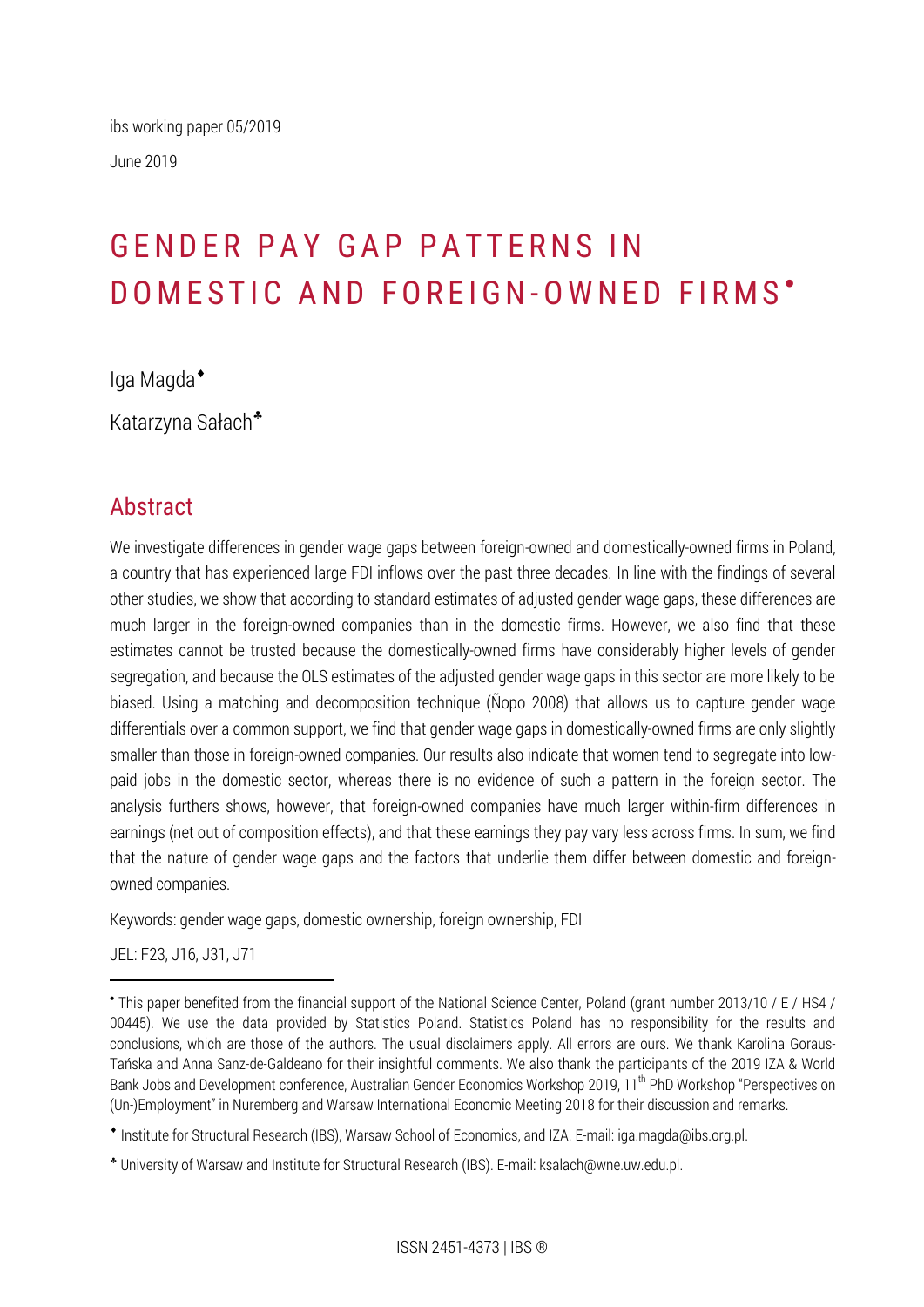# GENDER PAY GAP PATTERNS IN DOMESTIC AND FOREIGN-OWNED FIRMS'

Iga Magda

Katarzyna Sałach

# Abstract

We investigate differences in gender wage gaps between foreign-owned and domestically-owned firms in Poland, a country that has experienced large FDI inflows over the past three decades. In line with the findings of several other studies, we show that according to standard estimates of adjusted gender wage gaps, these differences are much larger in the foreign-owned companies than in the domestic firms. However, we also find that these estimates cannot be trusted because the domestically-owned firms have considerably higher levels of gender segregation, and because the OLS estimates of the adjusted gender wage gaps in this sector are more likely to be biased. Using a matching and decomposition technique (Ñopo 2008) that allows us to capture gender wage differentials over a common support, we find that gender wage gaps in domestically-owned firms are only slightly smaller than those in foreign-owned companies. Our results also indicate that women tend to segregate into lowpaid jobs in the domestic sector, whereas there is no evidence of such a pattern in the foreign sector. The analysis furthers shows, however, that foreign-owned companies have much larger within-firm differences in earnings (net out of composition effects), and that these earnings they pay vary less across firms. In sum, we find that the nature of gender wage gaps and the factors that underlie them differ between domestic and foreignowned companies.

Keywords: gender wage gaps, domestic ownership, foreign ownership, FDI

JEL: F23, J16, J31, J71

 $\overline{a}$ 

This paper benefited from the financial support of the National Science Center, Poland (grant number 2013/10 / E / HS4 / 00445). We use the data provided by Statistics Poland. Statistics Poland has no responsibility for the results and conclusions, which are those of the authors. The usual disclaimers apply. All errors are ours. We thank Karolina Goraus-Tańska and Anna Sanz-de-Galdeano for their insightful comments. We also thank the participants of the 2019 IZA & World Bank Jobs and Development conference, Australian Gender Economics Workshop 2019, 11<sup>th</sup> PhD Workshop "Perspectives on (Un-)Employment" in Nuremberg and Warsaw International Economic Meeting 2018 for their discussion and remarks.

Institute for Structural Research (IBS), Warsaw School of Economics, and IZA. E-mail: iga.magda@ibs.org.pl.

University of Warsaw and Institute for Structural Research (IBS). E-mail: ksalach@wne.uw.edu.pl.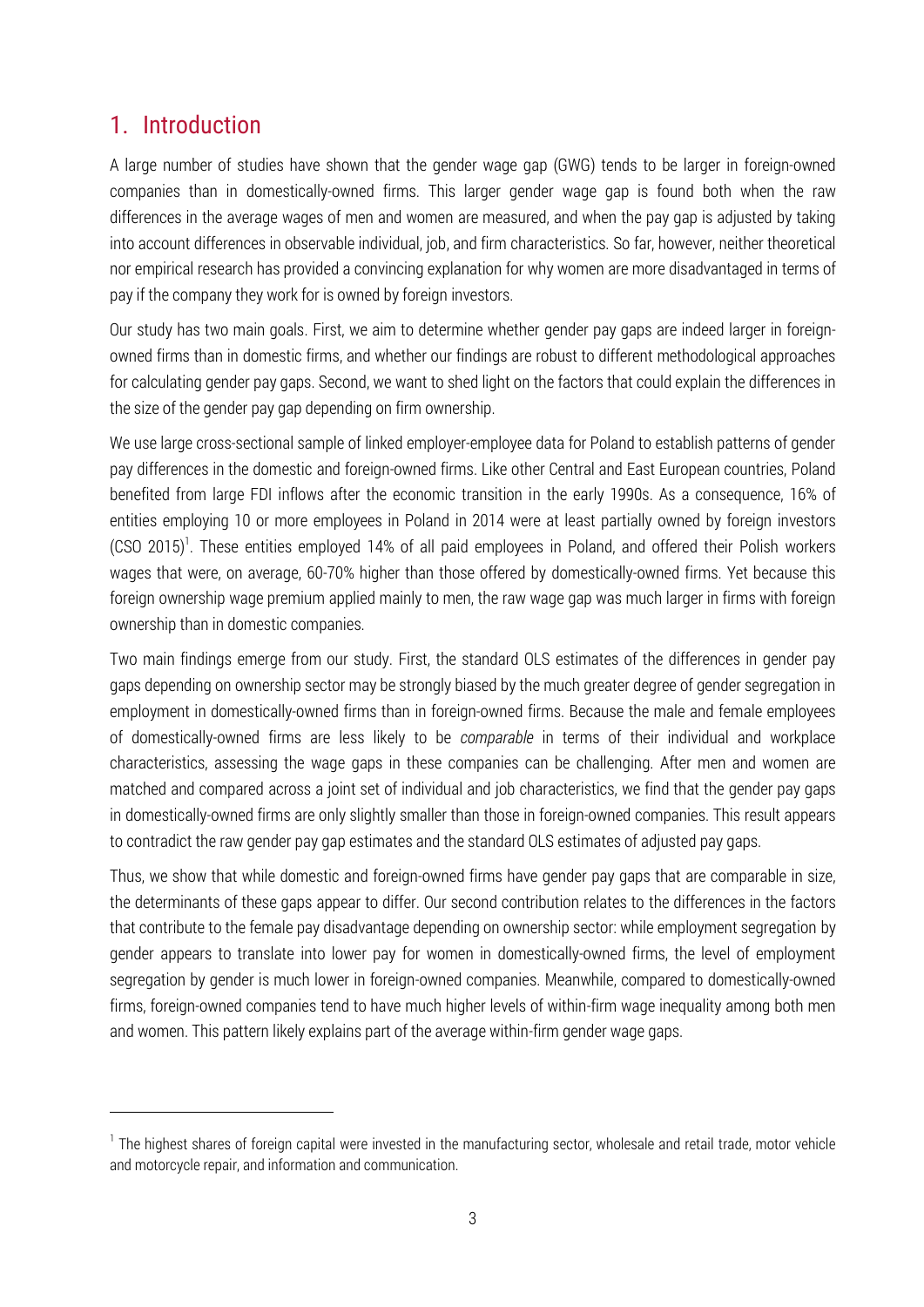# 1. Introduction

<u>.</u>

A large number of studies have shown that the gender wage gap (GWG) tends to be larger in foreign-owned companies than in domestically-owned firms. This larger gender wage gap is found both when the raw differences in the average wages of men and women are measured, and when the pay gap is adjusted by taking into account differences in observable individual, job, and firm characteristics. So far, however, neither theoretical nor empirical research has provided a convincing explanation for why women are more disadvantaged in terms of pay if the company they work for is owned by foreign investors.

Our study has two main goals. First, we aim to determine whether gender pay gaps are indeed larger in foreignowned firms than in domestic firms, and whether our findings are robust to different methodological approaches for calculating gender pay gaps. Second, we want to shed light on the factors that could explain the differences in the size of the gender pay gap depending on firm ownership.

We use large cross-sectional sample of linked employer-employee data for Poland to establish patterns of gender pay differences in the domestic and foreign-owned firms. Like other Central and East European countries, Poland benefited from large FDI inflows after the economic transition in the early 1990s. As a consequence, 16% of entities employing 10 or more employees in Poland in 2014 were at least partially owned by foreign investors (CSO 2015)<sup>1</sup>. These entities employed 14% of all paid employees in Poland, and offered their Polish workers wages that were, on average, 60-70% higher than those offered by domestically-owned firms. Yet because this foreign ownership wage premium applied mainly to men, the raw wage gap was much larger in firms with foreign ownership than in domestic companies.

Two main findings emerge from our study. First, the standard OLS estimates of the differences in gender pay gaps depending on ownership sector may be strongly biased by the much greater degree of gender segregation in employment in domestically-owned firms than in foreign-owned firms. Because the male and female employees of domestically-owned firms are less likely to be *comparable* in terms of their individual and workplace characteristics, assessing the wage gaps in these companies can be challenging. After men and women are matched and compared across a joint set of individual and job characteristics, we find that the gender pay gaps in domestically-owned firms are only slightly smaller than those in foreign-owned companies. This result appears to contradict the raw gender pay gap estimates and the standard OLS estimates of adjusted pay gaps.

Thus, we show that while domestic and foreign-owned firms have gender pay gaps that are comparable in size, the determinants of these gaps appear to differ. Our second contribution relates to the differences in the factors that contribute to the female pay disadvantage depending on ownership sector: while employment segregation by gender appears to translate into lower pay for women in domestically-owned firms, the level of employment segregation by gender is much lower in foreign-owned companies. Meanwhile, compared to domestically-owned firms, foreign-owned companies tend to have much higher levels of within-firm wage inequality among both men and women. This pattern likely explains part of the average within-firm gender wage gaps.

<sup>&</sup>lt;sup>1</sup> The highest shares of foreign capital were invested in the manufacturing sector, wholesale and retail trade, motor vehicle and motorcycle repair, and information and communication.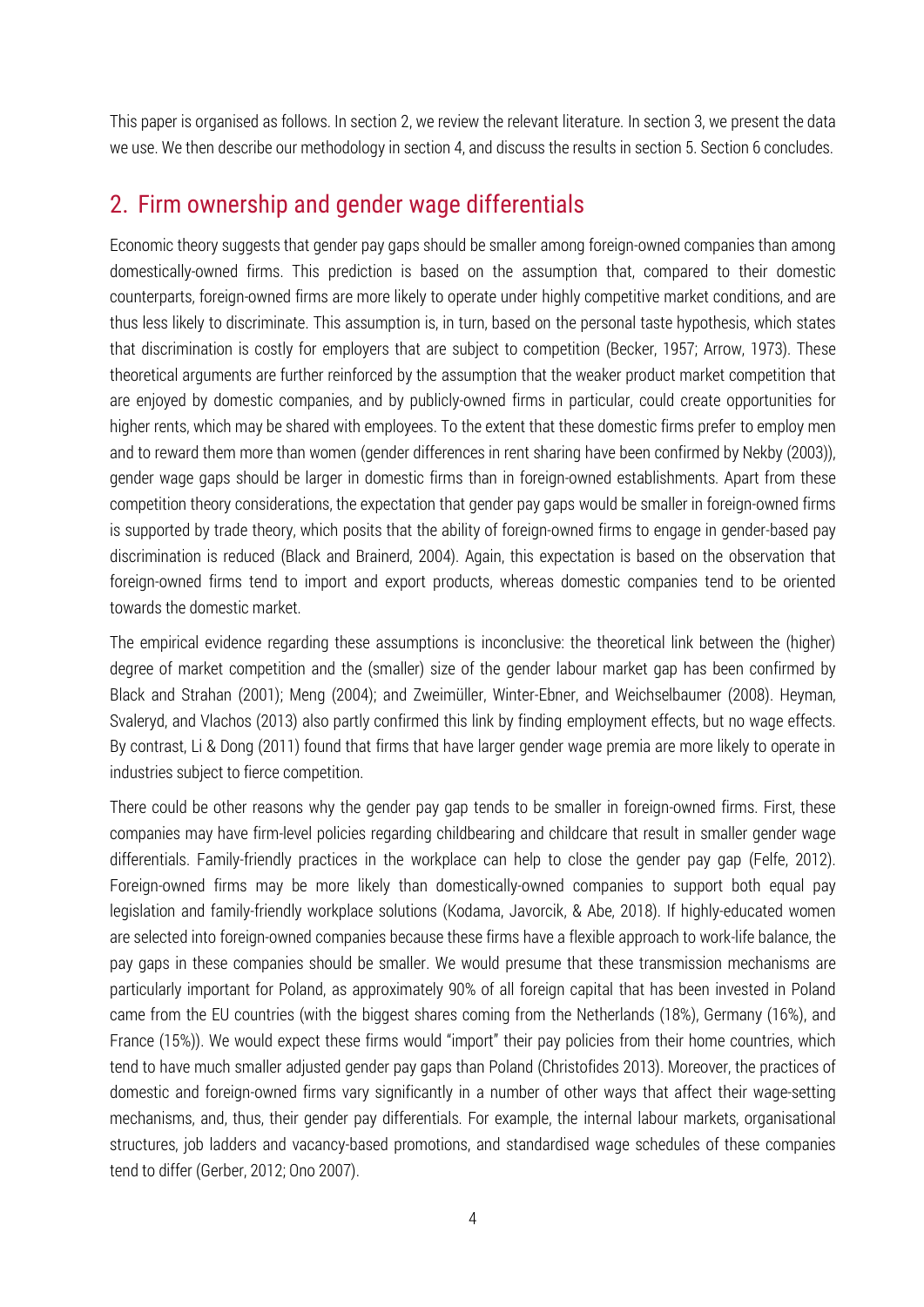This paper is organised as follows. In section 2, we review the relevant literature. In section 3, we present the data we use. We then describe our methodology in section 4, and discuss the results in section 5. Section 6 concludes.

### 2. Firm ownership and gender wage differentials

Economic theory suggests that gender pay gaps should be smaller among foreign-owned companies than among domestically-owned firms. This prediction is based on the assumption that, compared to their domestic counterparts, foreign-owned firms are more likely to operate under highly competitive market conditions, and are thus less likely to discriminate. This assumption is, in turn, based on the personal taste hypothesis, which states that discrimination is costly for employers that are subject to competition (Becker, 1957; Arrow, 1973). These theoretical arguments are further reinforced by the assumption that the weaker product market competition that are enjoyed by domestic companies, and by publicly-owned firms in particular, could create opportunities for higher rents, which may be shared with employees. To the extent that these domestic firms prefer to employ men and to reward them more than women (gender differences in rent sharing have been confirmed by Nekby (2003)), gender wage gaps should be larger in domestic firms than in foreign-owned establishments. Apart from these competition theory considerations, the expectation that gender pay gaps would be smaller in foreign-owned firms is supported by trade theory, which posits that the ability of foreign-owned firms to engage in gender-based pay discrimination is reduced (Black and Brainerd, 2004). Again, this expectation is based on the observation that foreign-owned firms tend to import and export products, whereas domestic companies tend to be oriented towards the domestic market.

The empirical evidence regarding these assumptions is inconclusive: the theoretical link between the (higher) degree of market competition and the (smaller) size of the gender labour market gap has been confirmed by Black and Strahan (2001); Meng (2004); and Zweimüller, Winter-Ebner, and Weichselbaumer (2008). Heyman, Svaleryd, and Vlachos (2013) also partly confirmed this link by finding employment effects, but no wage effects. By contrast, Li & Dong (2011) found that firms that have larger gender wage premia are more likely to operate in industries subject to fierce competition.

There could be other reasons why the gender pay gap tends to be smaller in foreign-owned firms. First, these companies may have firm-level policies regarding childbearing and childcare that result in smaller gender wage differentials. Family-friendly practices in the workplace can help to close the gender pay gap (Felfe, 2012). Foreign-owned firms may be more likely than domestically-owned companies to support both equal pay legislation and family-friendly workplace solutions (Kodama, Javorcik, & Abe, 2018). If highly-educated women are selected into foreign-owned companies because these firms have a flexible approach to work-life balance, the pay gaps in these companies should be smaller. We would presume that these transmission mechanisms are particularly important for Poland, as approximately 90% of all foreign capital that has been invested in Poland came from the EU countries (with the biggest shares coming from the Netherlands (18%), Germany (16%), and France (15%)). We would expect these firms would "import" their pay policies from their home countries, which tend to have much smaller adjusted gender pay gaps than Poland (Christofides 2013). Moreover, the practices of domestic and foreign-owned firms vary significantly in a number of other ways that affect their wage-setting mechanisms, and, thus, their gender pay differentials. For example, the internal labour markets, organisational structures, job ladders and vacancy-based promotions, and standardised wage schedules of these companies tend to differ (Gerber, 2012; Ono 2007).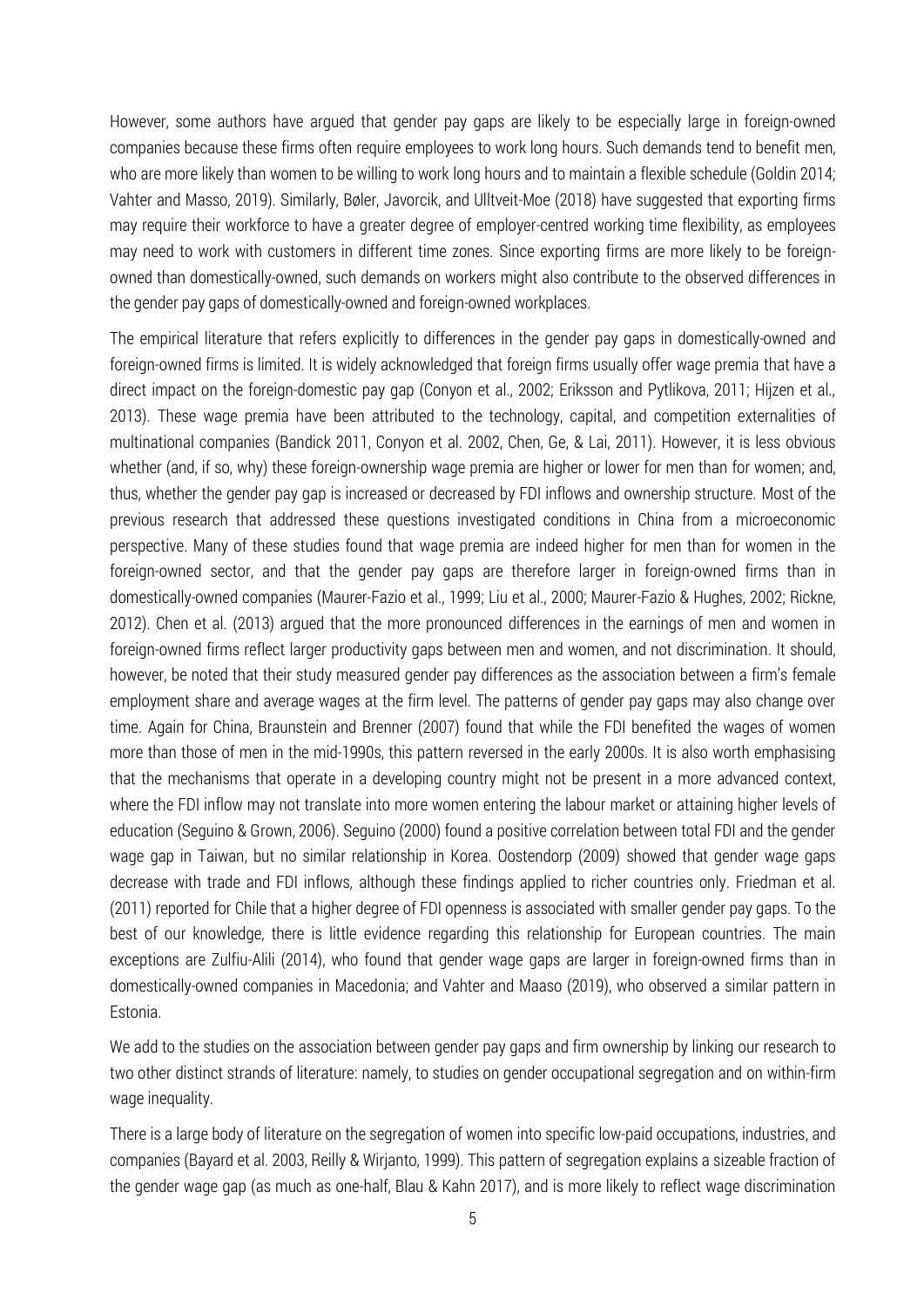However, some authors have argued that gender pay gaps are likely to be especially large in foreign-owned companies because these firms often require employees to work long hours. Such demands tend to benefit men, who are more likely than women to be willing to work long hours and to maintain a flexible schedule (Goldin 2014; Vahter and Masso, 2019). Similarly, Bøler, Javorcik, and Ulltveit-Moe (2018) have suggested that exporting firms may require their workforce to have a greater degree of employer-centred working time flexibility, as employees may need to work with customers in different time zones. Since exporting firms are more likely to be foreignowned than domestically-owned, such demands on workers might also contribute to the observed differences in the gender pay gaps of domestically-owned and foreign-owned workplaces.

The empirical literature that refers explicitly to differences in the gender pay gaps in domestically-owned and foreign-owned firms is limited. It is widely acknowledged that foreign firms usually offer wage premia that have a direct impact on the foreign-domestic pay gap (Conyon et al., 2002; Eriksson and Pytlikova, 2011; Hijzen et al., 2013). These wage premia have been attributed to the technology, capital, and competition externalities of multinational companies (Bandick 2011, Conyon et al. 2002, Chen, Ge, & Lai, 2011). However, it is less obvious whether (and, if so, why) these foreign-ownership wage premia are higher or lower for men than for women; and, thus, whether the gender pay gap is increased or decreased by FDI inflows and ownership structure. Most of the previous research that addressed these questions investigated conditions in China from a microeconomic perspective. Many of these studies found that wage premia are indeed higher for men than for women in the foreign-owned sector, and that the gender pay gaps are therefore larger in foreign-owned firms than in domestically-owned companies (Maurer-Fazio et al., 1999; Liu et al., 2000; Maurer-Fazio & Hughes, 2002; Rickne, 2012). Chen et al. (2013) argued that the more pronounced differences in the earnings of men and women in foreign-owned firms reflect larger productivity gaps between men and women, and not discrimination. It should, however, be noted that their study measured gender pay differences as the association between a firm's female employment share and average wages at the firm level. The patterns of gender pay gaps may also change over time. Again for China, Braunstein and Brenner (2007) found that while the FDI benefited the wages of women more than those of men in the mid-1990s, this pattern reversed in the early 2000s. It is also worth emphasising that the mechanisms that operate in a developing country might not be present in a more advanced context, where the FDI inflow may not translate into more women entering the labour market or attaining higher levels of education (Seguino & Grown, 2006). Seguino (2000) found a positive correlation between total FDI and the gender wage gap in Taiwan, but no similar relationship in Korea. Oostendorp (2009) showed that gender wage gaps decrease with trade and FDI inflows, although these findings applied to richer countries only. Friedman et al. (2011) reported for Chile that a higher degree of FDI openness is associated with smaller gender pay gaps. To the best of our knowledge, there is little evidence regarding this relationship for European countries. The main exceptions are Zulfiu-Alili (2014), who found that gender wage gaps are larger in foreign-owned firms than in domestically-owned companies in Macedonia; and Vahter and Maaso (2019), who observed a similar pattern in Estonia.

We add to the studies on the association between gender pay gaps and firm ownership by linking our research to two other distinct strands of literature: namely, to studies on gender occupational segregation and on within-firm wage inequality.

There is a large body of literature on the segregation of women into specific low-paid occupations, industries, and companies (Bayard et al. 2003, Reilly & Wirjanto, 1999). This pattern of segregation explains a sizeable fraction of the gender wage gap (as much as one-half, Blau & Kahn 2017), and is more likely to reflect wage discrimination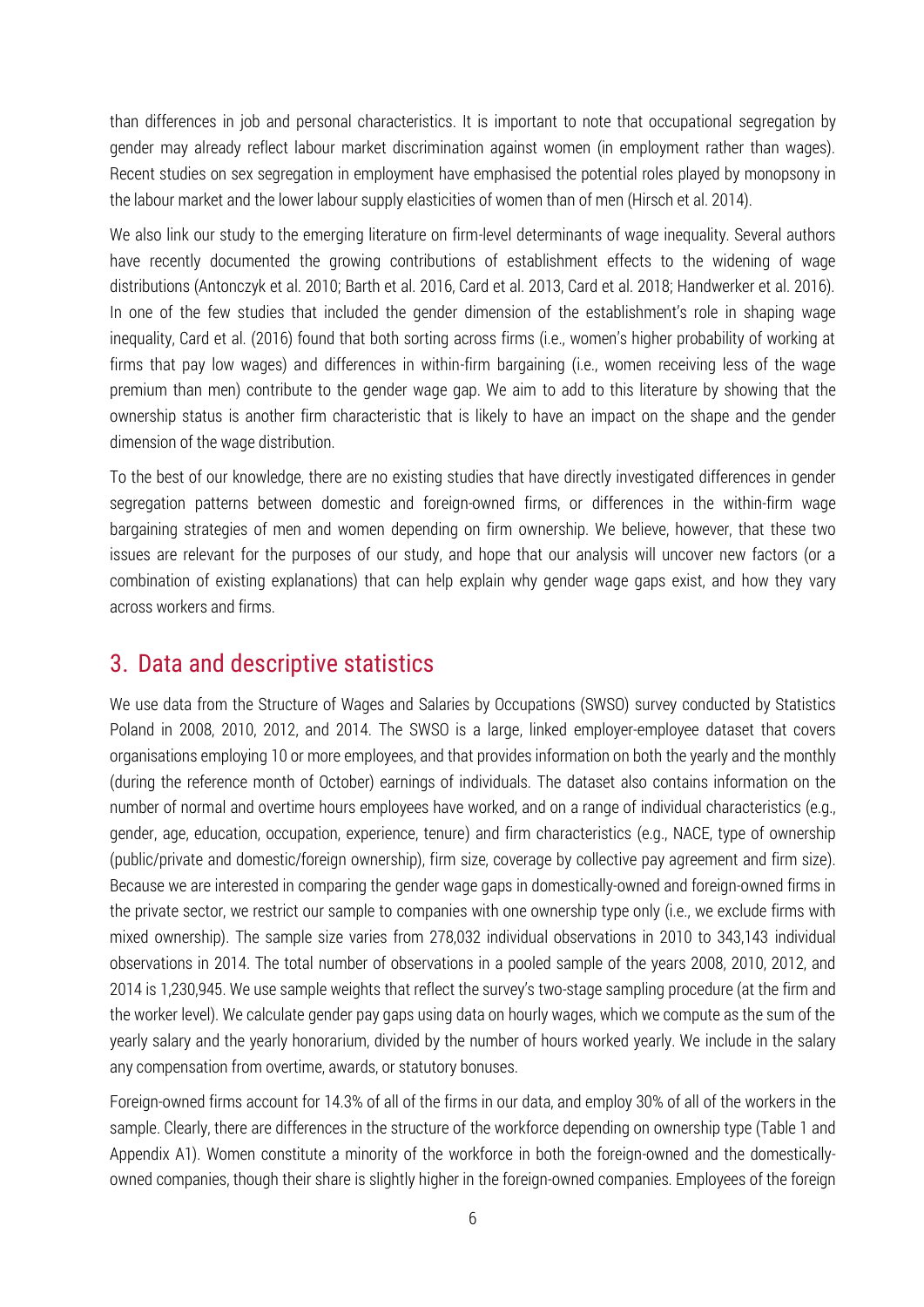than differences in job and personal characteristics. It is important to note that occupational segregation by gender may already reflect labour market discrimination against women (in employment rather than wages). Recent studies on sex segregation in employment have emphasised the potential roles played by monopsony in the labour market and the lower labour supply elasticities of women than of men (Hirsch et al. 2014).

We also link our study to the emerging literature on firm-level determinants of wage inequality. Several authors have recently documented the growing contributions of establishment effects to the widening of wage distributions (Antonczyk et al. 2010; Barth et al. 2016, Card et al. 2013, Card et al. 2018; Handwerker et al. 2016). In one of the few studies that included the gender dimension of the establishment's role in shaping wage inequality, Card et al. (2016) found that both sorting across firms (i.e., women's higher probability of working at firms that pay low wages) and differences in within-firm bargaining (i.e., women receiving less of the wage premium than men) contribute to the gender wage gap. We aim to add to this literature by showing that the ownership status is another firm characteristic that is likely to have an impact on the shape and the gender dimension of the wage distribution.

To the best of our knowledge, there are no existing studies that have directly investigated differences in gender segregation patterns between domestic and foreign-owned firms, or differences in the within-firm wage bargaining strategies of men and women depending on firm ownership. We believe, however, that these two issues are relevant for the purposes of our study, and hope that our analysis will uncover new factors (or a combination of existing explanations) that can help explain why gender wage gaps exist, and how they vary across workers and firms.

## 3. Data and descriptive statistics

We use data from the Structure of Wages and Salaries by Occupations (SWSO) survey conducted by Statistics Poland in 2008, 2010, 2012, and 2014. The SWSO is a large, linked employer-employee dataset that covers organisations employing 10 or more employees, and that provides information on both the yearly and the monthly (during the reference month of October) earnings of individuals. The dataset also contains information on the number of normal and overtime hours employees have worked, and on a range of individual characteristics (e.g., gender, age, education, occupation, experience, tenure) and firm characteristics (e.g., NACE, type of ownership (public/private and domestic/foreign ownership), firm size, coverage by collective pay agreement and firm size). Because we are interested in comparing the gender wage gaps in domestically-owned and foreign-owned firms in the private sector, we restrict our sample to companies with one ownership type only (i.e., we exclude firms with mixed ownership). The sample size varies from 278,032 individual observations in 2010 to 343,143 individual observations in 2014. The total number of observations in a pooled sample of the years 2008, 2010, 2012, and 2014 is 1,230,945. We use sample weights that reflect the survey's two-stage sampling procedure (at the firm and the worker level). We calculate gender pay gaps using data on hourly wages, which we compute as the sum of the yearly salary and the yearly honorarium, divided by the number of hours worked yearly. We include in the salary any compensation from overtime, awards, or statutory bonuses.

Foreign-owned firms account for 14.3% of all of the firms in our data, and employ 30% of all of the workers in the sample. Clearly, there are differences in the structure of the workforce depending on ownership type (Table 1 and Appendix A1). Women constitute a minority of the workforce in both the foreign-owned and the domesticallyowned companies, though their share is slightly higher in the foreign-owned companies. Employees of the foreign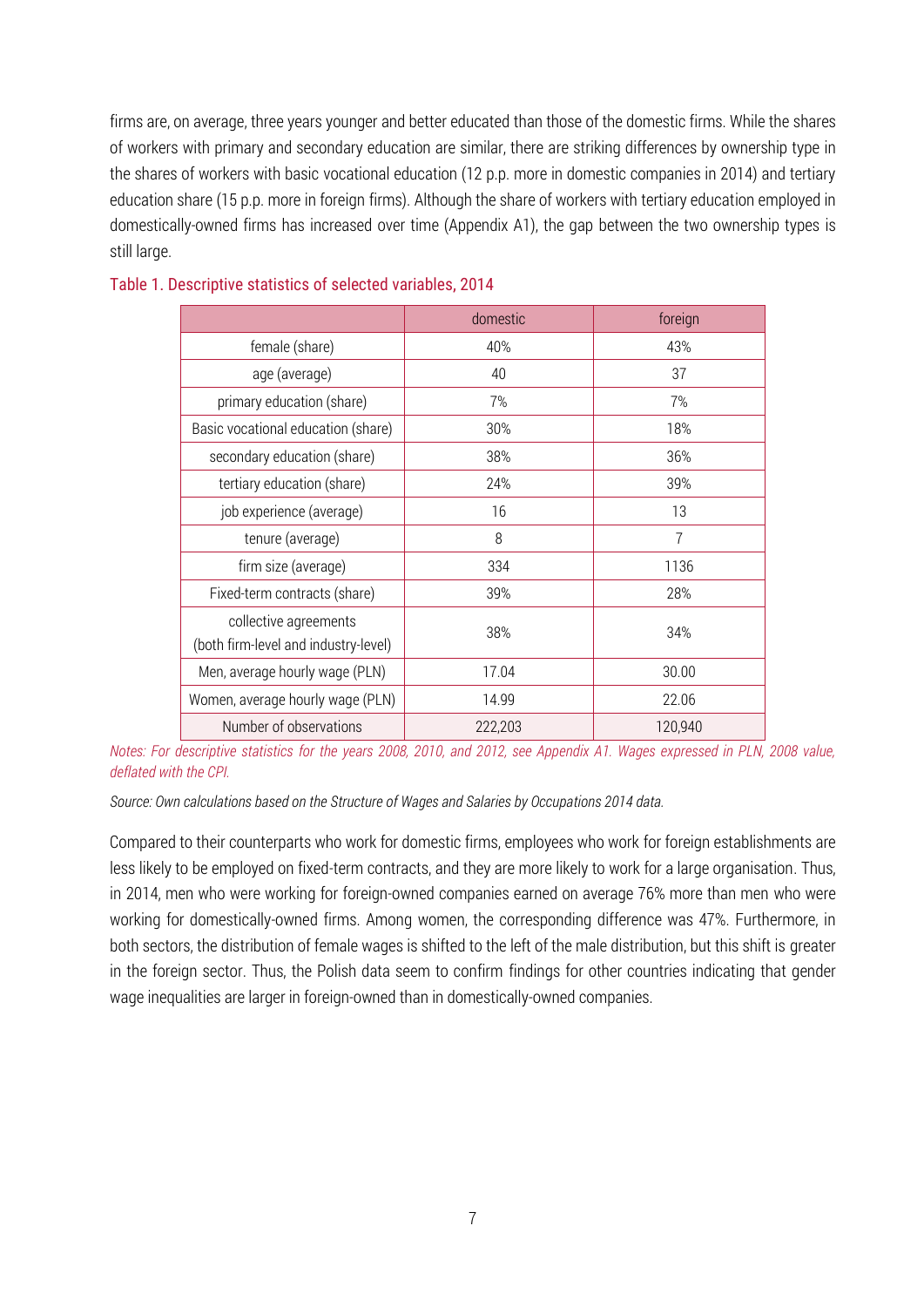firms are, on average, three years younger and better educated than those of the domestic firms. While the shares of workers with primary and secondary education are similar, there are striking differences by ownership type in the shares of workers with basic vocational education (12 p.p. more in domestic companies in 2014) and tertiary education share (15 p.p. more in foreign firms). Although the share of workers with tertiary education employed in domestically-owned firms has increased over time (Appendix A1), the gap between the two ownership types is still large.

|                                                               | domestic | foreign        |
|---------------------------------------------------------------|----------|----------------|
| female (share)                                                | 40%      | 43%            |
| age (average)                                                 | 40       | 37             |
| primary education (share)                                     | 7%       | 7%             |
| Basic vocational education (share)                            | 30%      | 18%            |
| secondary education (share)                                   | 38%      | 36%            |
| tertiary education (share)                                    | 24%      | 39%            |
| job experience (average)                                      | 16       | 13             |
| tenure (average)                                              | 8        | $\overline{7}$ |
| firm size (average)                                           | 334      | 1136           |
| Fixed-term contracts (share)                                  | 39%      | 28%            |
| collective agreements<br>(both firm-level and industry-level) | 38%      | 34%            |
| Men, average hourly wage (PLN)                                | 17.04    | 30.00          |
| Women, average hourly wage (PLN)                              | 14.99    | 22.06          |
| Number of observations                                        | 222,203  | 120,940        |

#### Table 1. Descriptive statistics of selected variables, 2014

*Notes: For descriptive statistics for the years 2008, 2010, and 2012, see Appendix A1. Wages expressed in PLN, 2008 value, deflated with the CPI.* 

*Source: Own calculations based on the Structure of Wages and Salaries by Occupations 2014 data.*

Compared to their counterparts who work for domestic firms, employees who work for foreign establishments are less likely to be employed on fixed-term contracts, and they are more likely to work for a large organisation. Thus, in 2014, men who were working for foreign-owned companies earned on average 76% more than men who were working for domestically-owned firms. Among women, the corresponding difference was 47%. Furthermore, in both sectors, the distribution of female wages is shifted to the left of the male distribution, but this shift is greater in the foreign sector. Thus, the Polish data seem to confirm findings for other countries indicating that gender wage inequalities are larger in foreign-owned than in domestically-owned companies.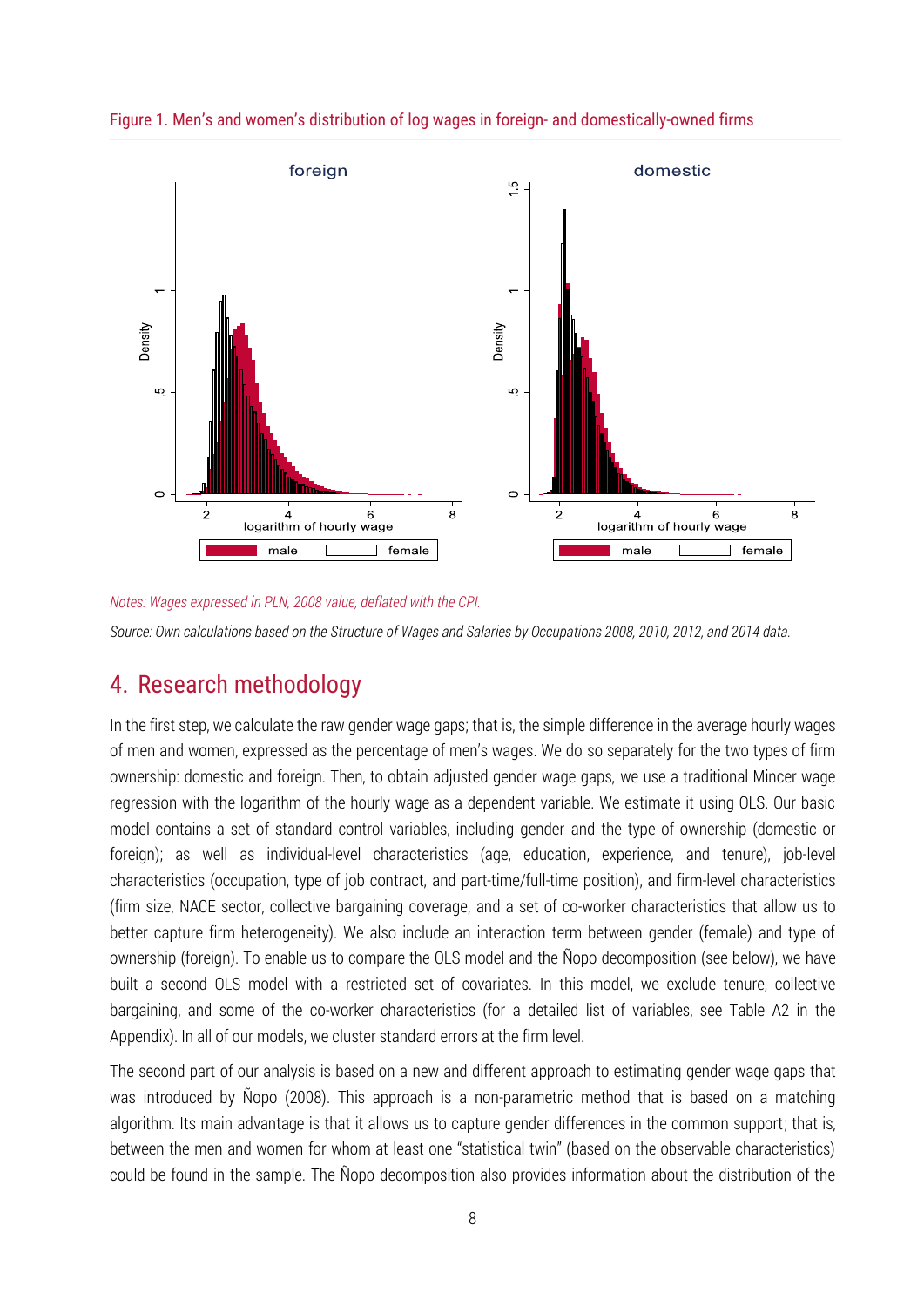

Figure 1. Men's and women's distribution of log wages in foreign- and domestically-owned firms

#### *Notes: Wages expressed in PLN, 2008 value, deflated with the CPI.*

*Source: Own calculations based on the Structure of Wages and Salaries by Occupations 2008, 2010, 2012, and 2014 data.* 

### 4. Research methodology

In the first step, we calculate the raw gender wage gaps; that is, the simple difference in the average hourly wages of men and women, expressed as the percentage of men's wages. We do so separately for the two types of firm ownership: domestic and foreign. Then, to obtain adjusted gender wage gaps, we use a traditional Mincer wage regression with the logarithm of the hourly wage as a dependent variable. We estimate it using OLS. Our basic model contains a set of standard control variables, including gender and the type of ownership (domestic or foreign); as well as individual-level characteristics (age, education, experience, and tenure), job-level characteristics (occupation, type of job contract, and part-time/full-time position), and firm-level characteristics (firm size, NACE sector, collective bargaining coverage, and a set of co-worker characteristics that allow us to better capture firm heterogeneity). We also include an interaction term between gender (female) and type of ownership (foreign). To enable us to compare the OLS model and the Ñopo decomposition (see below), we have built a second OLS model with a restricted set of covariates. In this model, we exclude tenure, collective bargaining, and some of the co-worker characteristics (for a detailed list of variables, see Table A2 in the Appendix). In all of our models, we cluster standard errors at the firm level.

The second part of our analysis is based on a new and different approach to estimating gender wage gaps that was introduced by Ñopo (2008). This approach is a non-parametric method that is based on a matching algorithm. Its main advantage is that it allows us to capture gender differences in the common support; that is, between the men and women for whom at least one "statistical twin" (based on the observable characteristics) could be found in the sample. The Ñopo decomposition also provides information about the distribution of the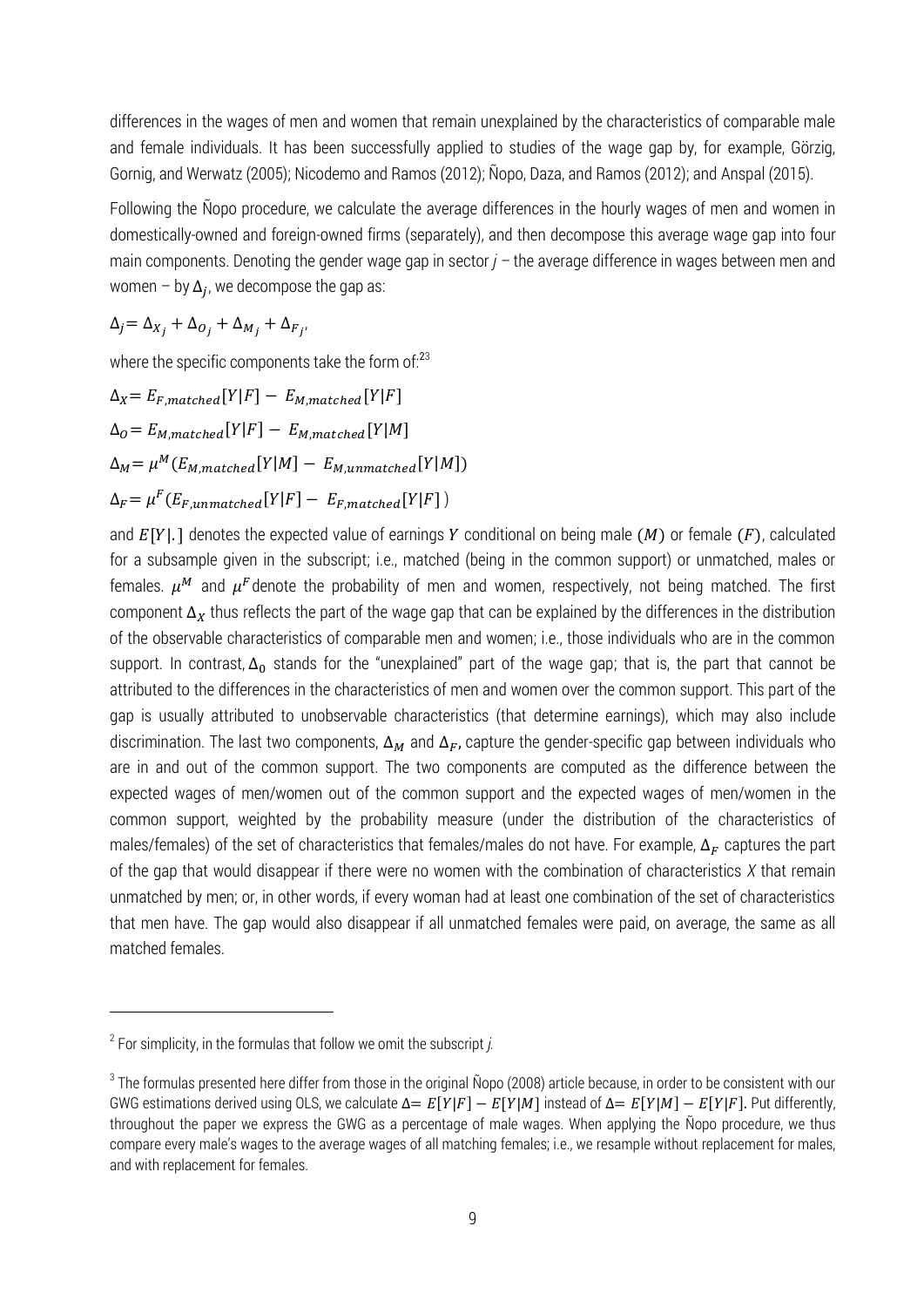differences in the wages of men and women that remain unexplained by the characteristics of comparable male and female individuals. It has been successfully applied to studies of the wage gap by, for example, Görzig, Gornig, and Werwatz (2005); Nicodemo and Ramos (2012); Ñopo, Daza, and Ramos (2012); and Anspal (2015).

Following the Ñopo procedure, we calculate the average differences in the hourly wages of men and women in domestically-owned and foreign-owned firms (separately), and then decompose this average wage gap into four main components. Denoting the gender wage gap in sector  $j$  – the average difference in wages between men and women  $-$  by  $\Delta_j$ , we decompose the gap as:

 $\Delta_j = \Delta_{X_i} + \Delta_{O_i} + \Delta_{M_i} + \Delta_{F_i},$ 

where the specific components take the form of:<sup>23</sup>

$$
\Delta_X = E_{F, matched}[Y|F] - E_{M,matched}[Y|F]
$$

$$
\Delta_O = E_{M, matched}[Y|F] - E_{M, matched}[Y|M]
$$

$$
\Delta_M = \mu^M(E_{M, matched}[Y|M] - E_{M,unmatched}[Y|M])
$$

$$
\Delta_F = \mu^F(E_{F,unmatched}[Y|F] - E_{F, matched}[Y|F])
$$

,

and  $E[Y]$ . I denotes the expected value of earnings Y conditional on being male (M) or female (F), calculated for a subsample given in the subscript; i.e., matched (being in the common support) or unmatched, males or females.  $\mu^M$  and  $\mu^F$ denote the probability of men and women, respectively, not being matched. The first component  $\Delta_x$  thus reflects the part of the wage gap that can be explained by the differences in the distribution of the observable characteristics of comparable men and women; i.e., those individuals who are in the common support. In contrast,  $\Delta_0$  stands for the "unexplained" part of the wage gap; that is, the part that cannot be attributed to the differences in the characteristics of men and women over the common support. This part of the gap is usually attributed to unobservable characteristics (that determine earnings), which may also include discrimination. The last two components,  $\Delta_M$  and  $\Delta_F$ , capture the gender-specific gap between individuals who are in and out of the common support. The two components are computed as the difference between the expected wages of men/women out of the common support and the expected wages of men/women in the common support, weighted by the probability measure (under the distribution of the characteristics of males/females) of the set of characteristics that females/males do not have. For example,  $\Delta_F$  captures the part of the gap that would disappear if there were no women with the combination of characteristics *X* that remain unmatched by men; or, in other words, if every woman had at least one combination of the set of characteristics that men have. The gap would also disappear if all unmatched females were paid, on average, the same as all matched females.

<u>.</u>

 $2^2$  For simplicity, in the formulas that follow we omit the subscript *j*.

 $^3$  The formulas presented here differ from those in the original Ñopo (2008) article because, in order to be consistent with our GWG estimations derived using OLS, we calculate  $\Delta = E[Y|F] - E[Y|M]$  instead of  $\Delta = E[Y|M] - E[Y|F]$ . Put differently, throughout the paper we express the GWG as a percentage of male wages. When applying the Ñopo procedure, we thus compare every male's wages to the average wages of all matching females; i.e., we resample without replacement for males, and with replacement for females.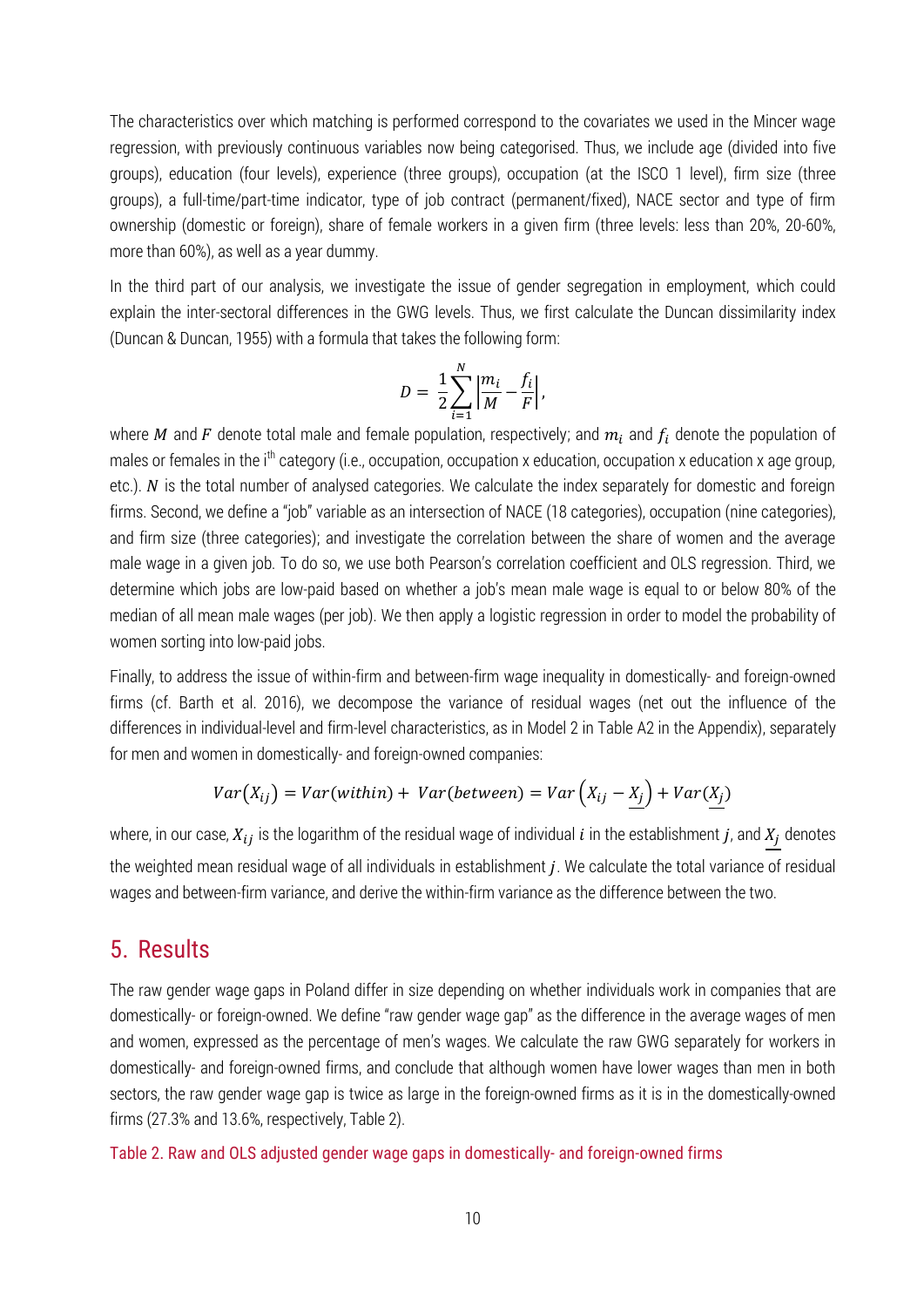The characteristics over which matching is performed correspond to the covariates we used in the Mincer wage regression, with previously continuous variables now being categorised. Thus, we include age (divided into five groups), education (four levels), experience (three groups), occupation (at the ISCO 1 level), firm size (three groups), a full-time/part-time indicator, type of job contract (permanent/fixed), NACE sector and type of firm ownership (domestic or foreign), share of female workers in a given firm (three levels: less than 20%, 20-60%, more than 60%), as well as a year dummy.

In the third part of our analysis, we investigate the issue of gender segregation in employment, which could explain the inter-sectoral differences in the GWG levels. Thus, we first calculate the Duncan dissimilarity index (Duncan & Duncan, 1955) with a formula that takes the following form:

$$
D = \frac{1}{2} \sum_{i=1}^{N} \left| \frac{m_i}{M} - \frac{f_i}{F} \right|,
$$

where M and F denote total male and female population, respectively; and  $m_i$  and  $f_i$  denote the population of males or females in the  $i<sup>th</sup>$  category (i.e., occupation, occupation x education, occupation x education x age group, etc.).  $N$  is the total number of analysed categories. We calculate the index separately for domestic and foreign firms. Second, we define a "job" variable as an intersection of NACE (18 categories), occupation (nine categories), and firm size (three categories); and investigate the correlation between the share of women and the average male wage in a given job. To do so, we use both Pearson's correlation coefficient and OLS regression. Third, we determine which jobs are low-paid based on whether a job's mean male wage is equal to or below 80% of the median of all mean male wages (per job). We then apply a logistic regression in order to model the probability of women sorting into low-paid jobs.

Finally, to address the issue of within-firm and between-firm wage inequality in domestically- and foreign-owned firms (cf. Barth et al. 2016), we decompose the variance of residual wages (net out the influence of the differences in individual-level and firm-level characteristics, as in Model 2 in Table A2 in the Appendix), separately for men and women in domestically- and foreign-owned companies:

$$
Var(X_{ij}) = Var(\text{within}) + Var(\text{between}) = Var\left(X_{ij} - X_j\right) + Var(X_j)
$$

where, in our case,  $X_{ij}$  is the logarithm of the residual wage of individual  $i$  in the establishment  $j$ , and  $X_j$  denotes the weighted mean residual wage of all individuals in establishment *j*. We calculate the total variance of residual wages and between-firm variance, and derive the within-firm variance as the difference between the two.

### 5. Results

The raw gender wage gaps in Poland differ in size depending on whether individuals work in companies that are domestically- or foreign-owned. We define "raw gender wage gap" as the difference in the average wages of men and women, expressed as the percentage of men's wages. We calculate the raw GWG separately for workers in domestically- and foreign-owned firms, and conclude that although women have lower wages than men in both sectors, the raw gender wage gap is twice as large in the foreign-owned firms as it is in the domestically-owned firms (27.3% and 13.6%, respectively, Table 2).

Table 2. Raw and OLS adjusted gender wage gaps in domestically- and foreign-owned firms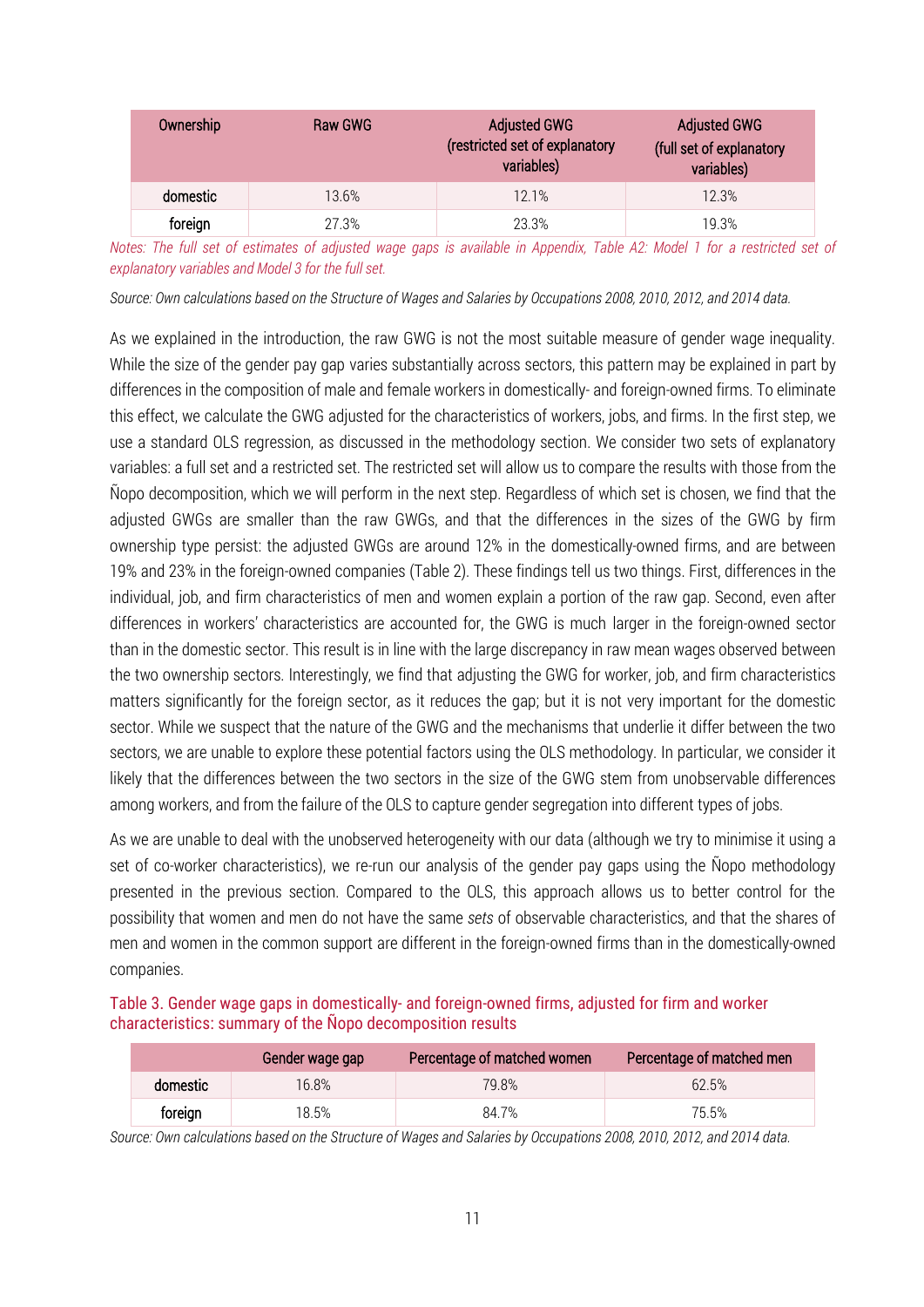| Ownership | Raw GWG | <b>Adjusted GWG</b><br>(restricted set of explanatory<br>variables) | <b>Adjusted GWG</b><br>(full set of explanatory<br>variables) |
|-----------|---------|---------------------------------------------------------------------|---------------------------------------------------------------|
| domestic  | 13.6%   | 12.1%                                                               | 12.3%                                                         |
| foreign   | 27.3%   | 23.3%                                                               | 19.3%                                                         |

*Notes: The full set of estimates of adjusted wage gaps is available in Appendix, Table A2: Model 1 for a restricted set of explanatory variables and Model 3 for the full set.*

*Source: Own calculations based on the Structure of Wages and Salaries by Occupations 2008, 2010, 2012, and 2014 data.* 

As we explained in the introduction, the raw GWG is not the most suitable measure of gender wage inequality. While the size of the gender pay gap varies substantially across sectors, this pattern may be explained in part by differences in the composition of male and female workers in domestically- and foreign-owned firms. To eliminate this effect, we calculate the GWG adjusted for the characteristics of workers, jobs, and firms. In the first step, we use a standard OLS regression, as discussed in the methodology section. We consider two sets of explanatory variables: a full set and a restricted set. The restricted set will allow us to compare the results with those from the Ñopo decomposition, which we will perform in the next step. Regardless of which set is chosen, we find that the adjusted GWGs are smaller than the raw GWGs, and that the differences in the sizes of the GWG by firm ownership type persist: the adjusted GWGs are around 12% in the domestically-owned firms, and are between 19% and 23% in the foreign-owned companies (Table 2). These findings tell us two things. First, differences in the individual, job, and firm characteristics of men and women explain a portion of the raw gap. Second, even after differences in workers' characteristics are accounted for, the GWG is much larger in the foreign-owned sector than in the domestic sector. This result is in line with the large discrepancy in raw mean wages observed between the two ownership sectors. Interestingly, we find that adjusting the GWG for worker, job, and firm characteristics matters significantly for the foreign sector, as it reduces the gap; but it is not very important for the domestic sector. While we suspect that the nature of the GWG and the mechanisms that underlie it differ between the two sectors, we are unable to explore these potential factors using the OLS methodology. In particular, we consider it likely that the differences between the two sectors in the size of the GWG stem from unobservable differences among workers, and from the failure of the OLS to capture gender segregation into different types of jobs.

As we are unable to deal with the unobserved heterogeneity with our data (although we try to minimise it using a set of co-worker characteristics), we re-run our analysis of the gender pay gaps using the Ñopo methodology presented in the previous section. Compared to the OLS, this approach allows us to better control for the possibility that women and men do not have the same *sets* of observable characteristics, and that the shares of men and women in the common support are different in the foreign-owned firms than in the domestically-owned companies.

| Table 3. Gender wage gaps in domestically- and foreign-owned firms, adjusted for firm and worker |  |  |  |
|--------------------------------------------------------------------------------------------------|--|--|--|
| characteristics: summary of the Nopo decomposition results                                       |  |  |  |

|          | Gender wage gap | Percentage of matched women | Percentage of matched men |
|----------|-----------------|-----------------------------|---------------------------|
| domestic | 16.8%           | 79.8%                       | 62.5%                     |
| foreign  | 18.5%           | 84.7%                       | 75.5%                     |

*Source: Own calculations based on the Structure of Wages and Salaries by Occupations 2008, 2010, 2012, and 2014 data.*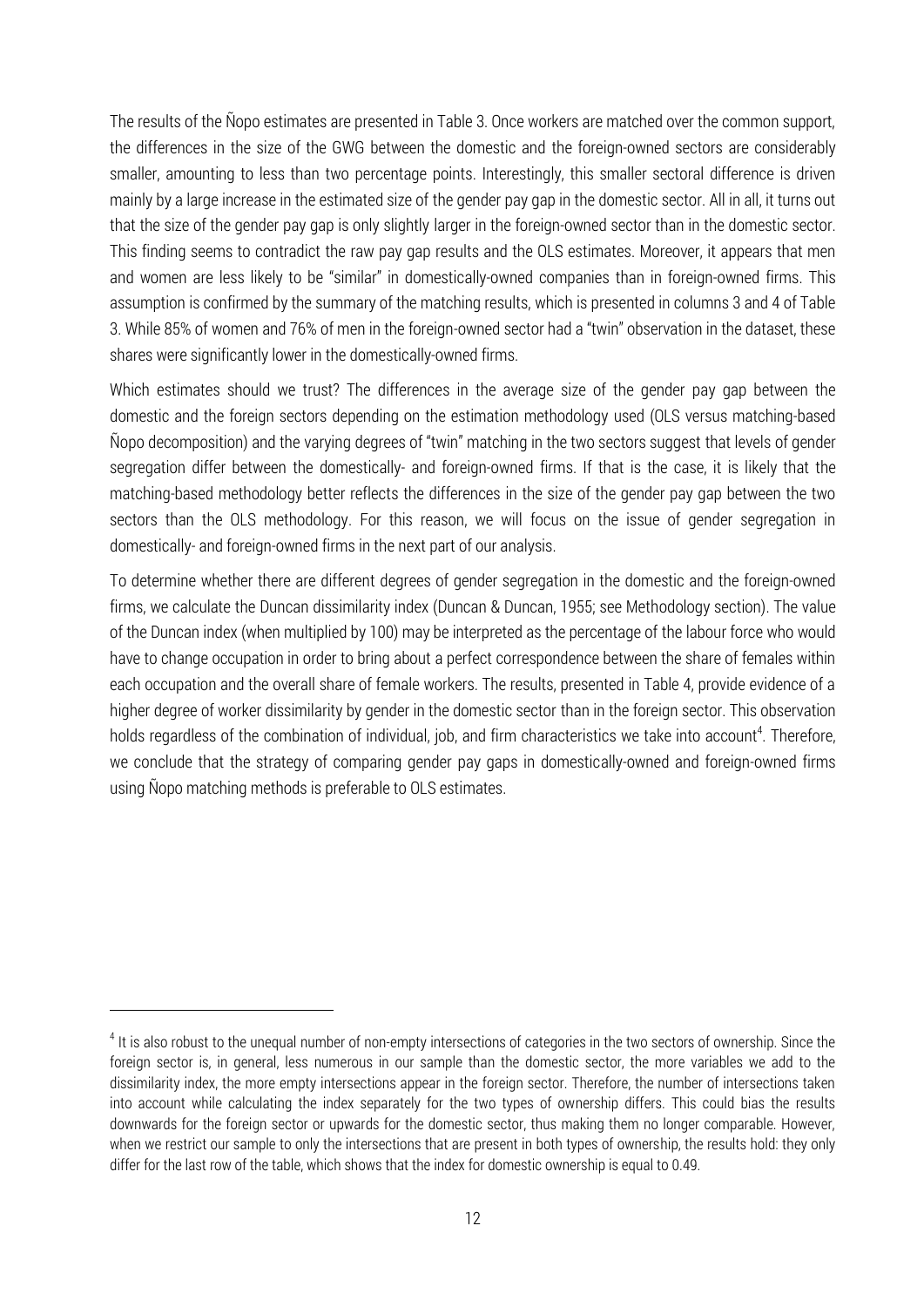The results of the Ñopo estimates are presented in Table 3. Once workers are matched over the common support, the differences in the size of the GWG between the domestic and the foreign-owned sectors are considerably smaller, amounting to less than two percentage points. Interestingly, this smaller sectoral difference is driven mainly by a large increase in the estimated size of the gender pay gap in the domestic sector. All in all, it turns out that the size of the gender pay gap is only slightly larger in the foreign-owned sector than in the domestic sector. This finding seems to contradict the raw pay gap results and the OLS estimates. Moreover, it appears that men and women are less likely to be "similar" in domestically-owned companies than in foreign-owned firms. This assumption is confirmed by the summary of the matching results, which is presented in columns 3 and 4 of Table 3. While 85% of women and 76% of men in the foreign-owned sector had a "twin" observation in the dataset, these shares were significantly lower in the domestically-owned firms.

Which estimates should we trust? The differences in the average size of the gender pay gap between the domestic and the foreign sectors depending on the estimation methodology used (OLS versus matching-based Ñopo decomposition) and the varying degrees of "twin" matching in the two sectors suggest that levels of gender segregation differ between the domestically- and foreign-owned firms. If that is the case, it is likely that the matching-based methodology better reflects the differences in the size of the gender pay gap between the two sectors than the OLS methodology. For this reason, we will focus on the issue of gender segregation in domestically- and foreign-owned firms in the next part of our analysis.

To determine whether there are different degrees of gender segregation in the domestic and the foreign-owned firms, we calculate the Duncan dissimilarity index (Duncan & Duncan, 1955; see Methodology section). The value of the Duncan index (when multiplied by 100) may be interpreted as the percentage of the labour force who would have to change occupation in order to bring about a perfect correspondence between the share of females within each occupation and the overall share of female workers. The results, presented in Table 4, provide evidence of a higher degree of worker dissimilarity by gender in the domestic sector than in the foreign sector. This observation holds regardless of the combination of individual, job, and firm characteristics we take into account<sup>4</sup>. Therefore, we conclude that the strategy of comparing gender pay gaps in domestically-owned and foreign-owned firms using Ñopo matching methods is preferable to OLS estimates.

 $\overline{a}$ 

<sup>&</sup>lt;sup>4</sup> It is also robust to the unequal number of non-empty intersections of categories in the two sectors of ownership. Since the foreign sector is, in general, less numerous in our sample than the domestic sector, the more variables we add to the dissimilarity index, the more empty intersections appear in the foreign sector. Therefore, the number of intersections taken into account while calculating the index separately for the two types of ownership differs. This could bias the results downwards for the foreign sector or upwards for the domestic sector, thus making them no longer comparable. However, when we restrict our sample to only the intersections that are present in both types of ownership, the results hold: they only differ for the last row of the table, which shows that the index for domestic ownership is equal to 0.49.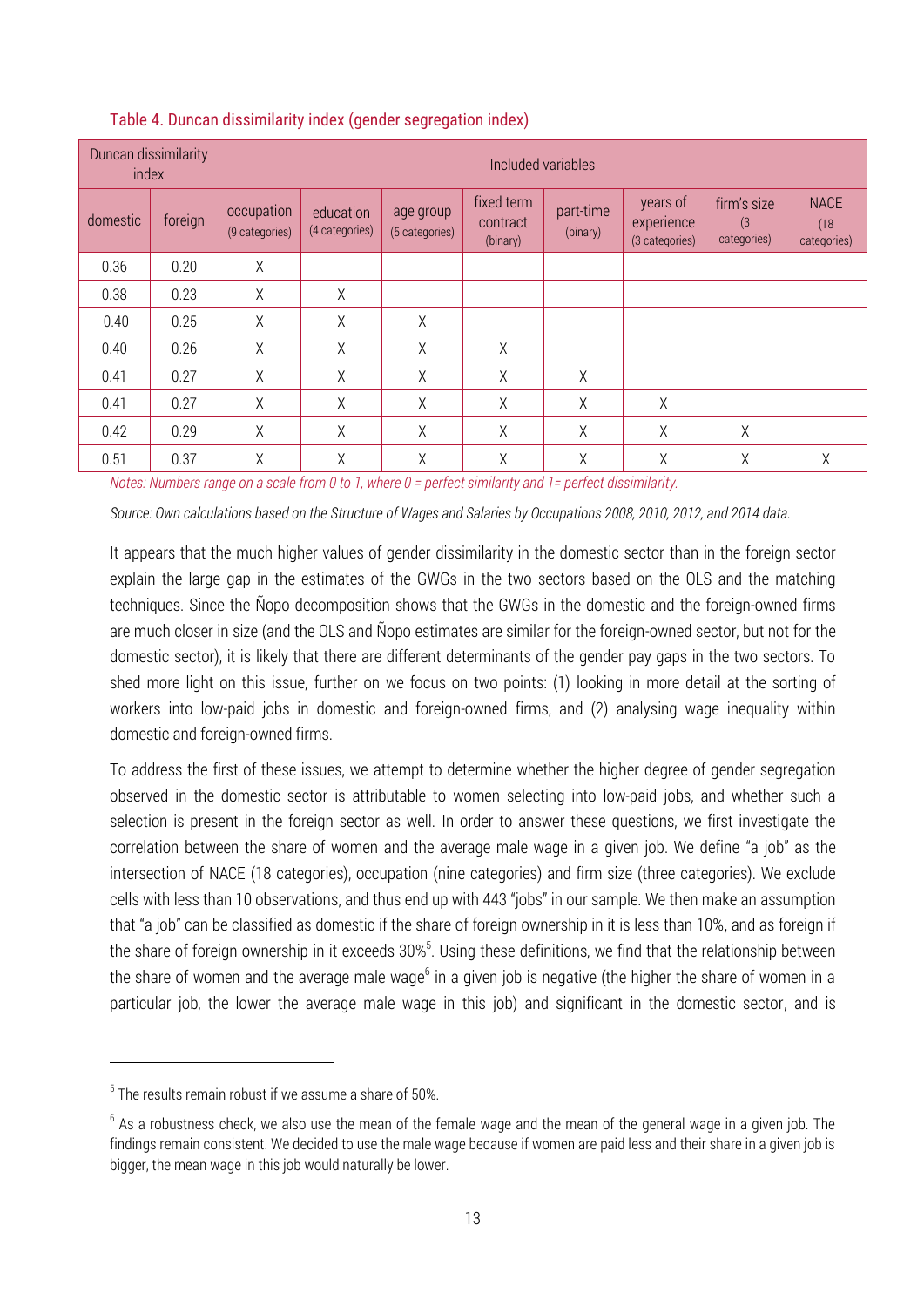| Duncan dissimilarity<br>index |         | Included variables           |                             |                             |                                    |                       |                                          |                                   |                                    |
|-------------------------------|---------|------------------------------|-----------------------------|-----------------------------|------------------------------------|-----------------------|------------------------------------------|-----------------------------------|------------------------------------|
| domestic                      | foreign | occupation<br>(9 categories) | education<br>(4 categories) | age group<br>(5 categories) | fixed term<br>contract<br>(binary) | part-time<br>(binary) | years of<br>experience<br>(3 categories) | firm's size<br>(3)<br>categories) | <b>NACE</b><br>(18)<br>categories) |
| 0.36                          | 0.20    | Χ                            |                             |                             |                                    |                       |                                          |                                   |                                    |
| 0.38                          | 0.23    | X                            | X                           |                             |                                    |                       |                                          |                                   |                                    |
| 0.40                          | 0.25    | X                            | X                           | Χ                           |                                    |                       |                                          |                                   |                                    |
| 0.40                          | 0.26    | Χ                            | X                           | Χ                           | χ                                  |                       |                                          |                                   |                                    |
| 0.41                          | 0.27    | Χ                            | $\chi$                      | $\chi$                      | Χ                                  | Χ                     |                                          |                                   |                                    |
| 0.41                          | 0.27    | Χ                            | $\chi$                      | $\chi$                      | Χ                                  | Χ                     | Χ                                        |                                   |                                    |
| 0.42                          | 0.29    | Χ                            | Χ                           | Χ                           | Χ                                  | Χ                     | Χ                                        | Χ                                 |                                    |
| 0.51                          | 0.37    | Χ                            | Χ                           | $\chi$                      | χ                                  | Χ                     | Χ                                        | χ                                 | X                                  |

#### Table 4. Duncan dissimilarity index (gender segregation index)

*Notes: Numbers range on a scale from 0 to 1, where 0 = perfect similarity and 1= perfect dissimilarity.*

*Source: Own calculations based on the Structure of Wages and Salaries by Occupations 2008, 2010, 2012, and 2014 data.*

It appears that the much higher values of gender dissimilarity in the domestic sector than in the foreign sector explain the large gap in the estimates of the GWGs in the two sectors based on the OLS and the matching techniques. Since the Ñopo decomposition shows that the GWGs in the domestic and the foreign-owned firms are much closer in size (and the OLS and Ñopo estimates are similar for the foreign-owned sector, but not for the domestic sector), it is likely that there are different determinants of the gender pay gaps in the two sectors. To shed more light on this issue, further on we focus on two points: (1) looking in more detail at the sorting of workers into low-paid jobs in domestic and foreign-owned firms, and (2) analysing wage inequality within domestic and foreign-owned firms.

To address the first of these issues, we attempt to determine whether the higher degree of gender segregation observed in the domestic sector is attributable to women selecting into low-paid jobs, and whether such a selection is present in the foreign sector as well. In order to answer these questions, we first investigate the correlation between the share of women and the average male wage in a given job. We define "a job" as the intersection of NACE (18 categories), occupation (nine categories) and firm size (three categories). We exclude cells with less than 10 observations, and thus end up with 443 "jobs" in our sample. We then make an assumption that "a job" can be classified as domestic if the share of foreign ownership in it is less than 10%, and as foreign if the share of foreign ownership in it exceeds  $30\%$ <sup>5</sup>. Using these definitions, we find that the relationship between the share of women and the average male wage<sup>6</sup> in a given job is negative (the higher the share of women in a particular job, the lower the average male wage in this job) and significant in the domestic sector, and is

1

 $5$  The results remain robust if we assume a share of 50%.

 $^6$  As a robustness check, we also use the mean of the female wage and the mean of the general wage in a given job. The findings remain consistent. We decided to use the male wage because if women are paid less and their share in a given job is bigger, the mean wage in this job would naturally be lower.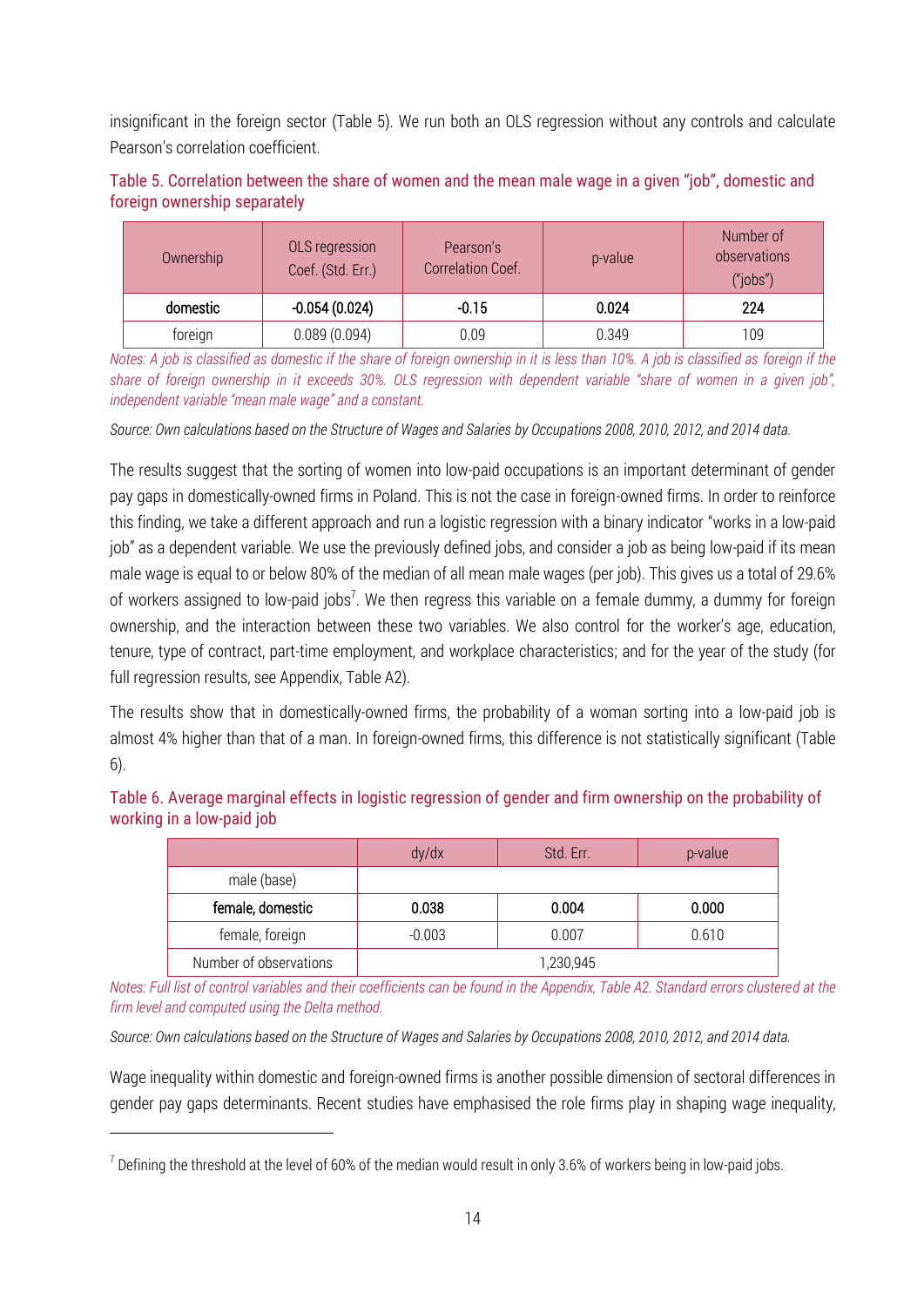insignificant in the foreign sector (Table 5). We run both an OLS regression without any controls and calculate Pearson's correlation coefficient.

| Table 5. Correlation between the share of women and the mean male wage in a given "job", domestic and |  |  |
|-------------------------------------------------------------------------------------------------------|--|--|
| foreign ownership separately                                                                          |  |  |

| Ownership | OLS regression<br>Coef. (Std. Err.) | Pearson's<br>Correlation Coef. | p-value | Number of<br>observations<br>("iobs") |
|-----------|-------------------------------------|--------------------------------|---------|---------------------------------------|
| domestic  | $-0.054(0.024)$                     | $-0.15$                        | 0.024   | 224                                   |
| foreign   | 0.089(0.094)                        | 0.09                           | 0.349   | 109                                   |

*Notes: A job is classified as domestic if the share of foreign ownership in it is less than 10%. A job is classified as foreign if the share of foreign ownership in it exceeds 30%. OLS regression with dependent variable "share of women in a given job", independent variable "mean male wage" and a constant.*

*Source: Own calculations based on the Structure of Wages and Salaries by Occupations 2008, 2010, 2012, and 2014 data.*

The results suggest that the sorting of women into low-paid occupations is an important determinant of gender pay gaps in domestically-owned firms in Poland. This is not the case in foreign-owned firms. In order to reinforce this finding, we take a different approach and run a logistic regression with a binary indicator "works in a low-paid job" as a dependent variable. We use the previously defined jobs, and consider a job as being low-paid if its mean male wage is equal to or below 80% of the median of all mean male wages (per job). This gives us a total of 29.6% of workers assigned to low-paid jobs<sup>7</sup>. We then regress this variable on a female dummy, a dummy for foreign ownership, and the interaction between these two variables. We also control for the worker's age, education, tenure, type of contract, part-time employment, and workplace characteristics; and for the year of the study (for full regression results, see Appendix, Table A2).

The results show that in domestically-owned firms, the probability of a woman sorting into a low-paid job is almost 4% higher than that of a man. In foreign-owned firms, this difference is not statistically significant (Table 6).

| Table 6. Average marginal effects in logistic regression of gender and firm ownership on the probability of |  |  |
|-------------------------------------------------------------------------------------------------------------|--|--|
| working in a low-paid job                                                                                   |  |  |

|                        | dy/dx     | Std. Err. | p-value |  |
|------------------------|-----------|-----------|---------|--|
| male (base)            |           |           |         |  |
| female, domestic       | 0.038     | 0.004     | 0.000   |  |
| female, foreign        | $-0.003$  | 0.007     | 0.610   |  |
| Number of observations | 1,230,945 |           |         |  |

*Notes: Full list of control variables and their coefficients can be found in the Appendix, Table A2. Standard errors clustered at the firm level and computed using the Delta method.* 

*Source: Own calculations based on the Structure of Wages and Salaries by Occupations 2008, 2010, 2012, and 2014 data.*

Wage inequality within domestic and foreign-owned firms is another possible dimension of sectoral differences in gender pay gaps determinants. Recent studies have emphasised the role firms play in shaping wage inequality,

<u>.</u>

 $^7$  Defining the threshold at the level of 60% of the median would result in only 3.6% of workers being in low-paid jobs.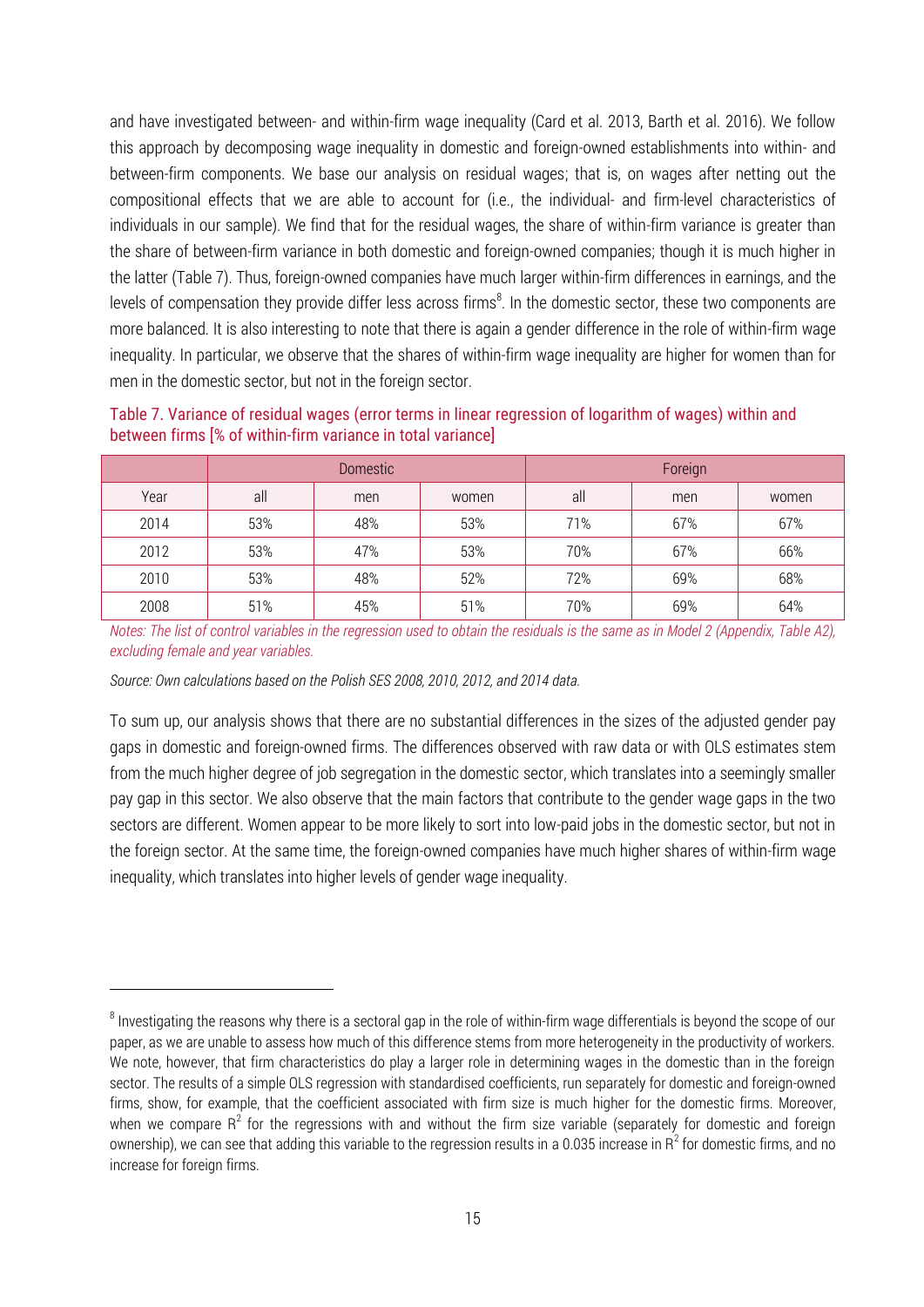and have investigated between- and within-firm wage inequality (Card et al. 2013, Barth et al. 2016). We follow this approach by decomposing wage inequality in domestic and foreign-owned establishments into within- and between-firm components. We base our analysis on residual wages; that is, on wages after netting out the compositional effects that we are able to account for (i.e., the individual- and firm-level characteristics of individuals in our sample). We find that for the residual wages, the share of within-firm variance is greater than the share of between-firm variance in both domestic and foreign-owned companies; though it is much higher in the latter (Table 7). Thus, foreign-owned companies have much larger within-firm differences in earnings, and the levels of compensation they provide differ less across firms $^8$ . In the domestic sector, these two components are more balanced. It is also interesting to note that there is again a gender difference in the role of within-firm wage inequality. In particular, we observe that the shares of within-firm wage inequality are higher for women than for men in the domestic sector, but not in the foreign sector.

|      | Domestic <sup>1</sup> |     |       | Foreign |     |       |
|------|-----------------------|-----|-------|---------|-----|-------|
| Year | all                   | men | women | all     | men | women |
| 2014 | 53%                   | 48% | 53%   | 71%     | 67% | 67%   |
| 2012 | 53%                   | 47% | 53%   | 70%     | 67% | 66%   |
| 2010 | 53%                   | 48% | 52%   | 72%     | 69% | 68%   |
| 2008 | 51%                   | 45% | 51%   | 70%     | 69% | 64%   |

Table 7. Variance of residual wages (error terms in linear regression of logarithm of wages) within and between firms [% of within-firm variance in total variance]

*Notes: The list of control variables in the regression used to obtain the residuals is the same as in Model 2 (Appendix, Table A2), excluding female and year variables.*

*Source: Own calculations based on the Polish SES 2008, 2010, 2012, and 2014 data.*

 $\overline{a}$ 

To sum up, our analysis shows that there are no substantial differences in the sizes of the adjusted gender pay gaps in domestic and foreign-owned firms. The differences observed with raw data or with OLS estimates stem from the much higher degree of job segregation in the domestic sector, which translates into a seemingly smaller pay gap in this sector. We also observe that the main factors that contribute to the gender wage gaps in the two sectors are different. Women appear to be more likely to sort into low-paid jobs in the domestic sector, but not in the foreign sector. At the same time, the foreign-owned companies have much higher shares of within-firm wage inequality, which translates into higher levels of gender wage inequality.

 $^8$  Investigating the reasons why there is a sectoral gap in the role of within-firm wage differentials is beyond the scope of our paper, as we are unable to assess how much of this difference stems from more heterogeneity in the productivity of workers. We note, however, that firm characteristics do play a larger role in determining wages in the domestic than in the foreign sector. The results of a simple OLS regression with standardised coefficients, run separately for domestic and foreign-owned firms, show, for example, that the coefficient associated with firm size is much higher for the domestic firms. Moreover, when we compare  $R^2$  for the regressions with and without the firm size variable (separately for domestic and foreign ownership), we can see that adding this variable to the regression results in a 0.035 increase in R<sup>2</sup> for domestic firms, and no increase for foreign firms.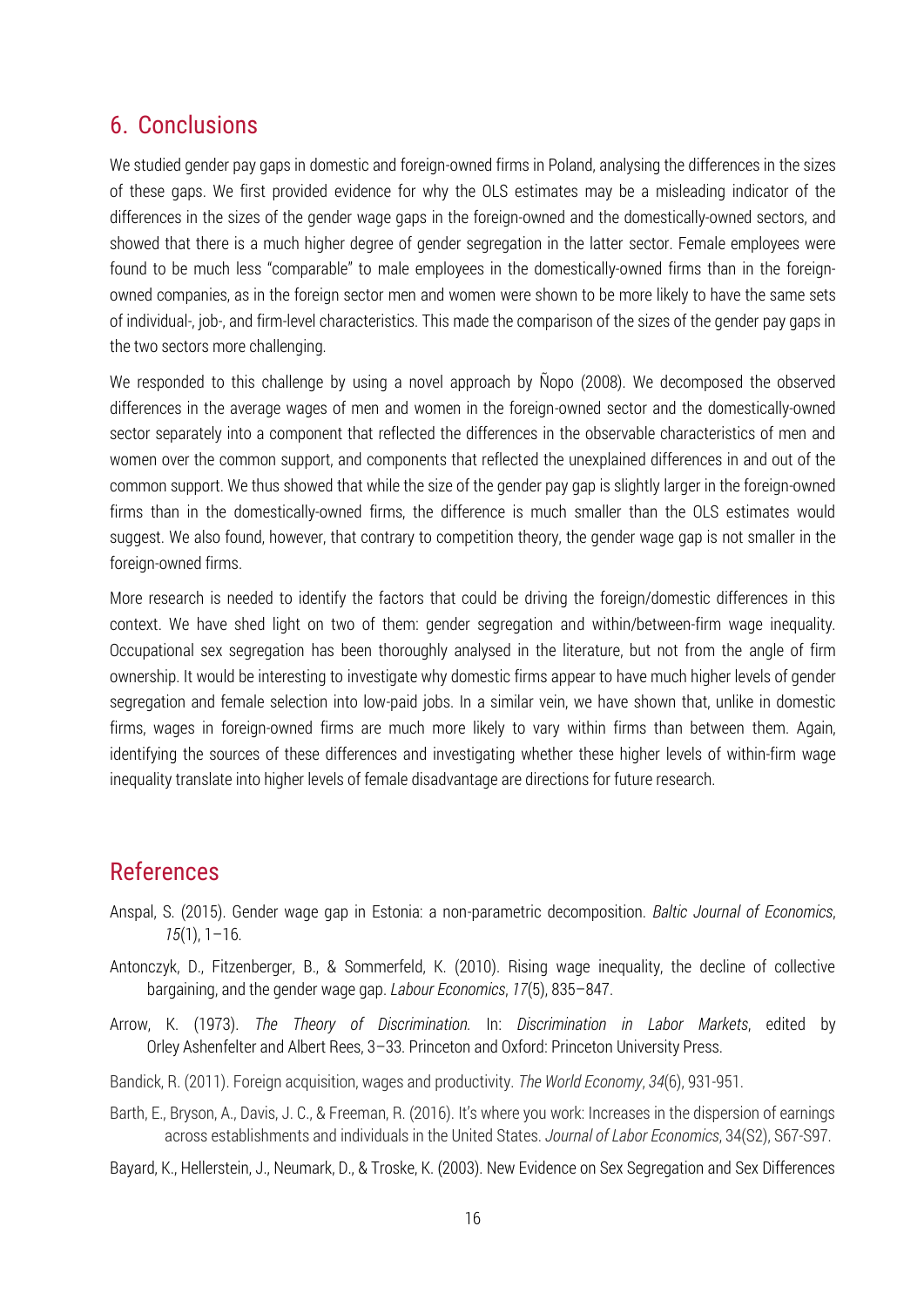## 6. Conclusions

We studied gender pay gaps in domestic and foreign-owned firms in Poland, analysing the differences in the sizes of these gaps. We first provided evidence for why the OLS estimates may be a misleading indicator of the differences in the sizes of the gender wage gaps in the foreign-owned and the domestically-owned sectors, and showed that there is a much higher degree of gender segregation in the latter sector. Female employees were found to be much less "comparable" to male employees in the domestically-owned firms than in the foreignowned companies, as in the foreign sector men and women were shown to be more likely to have the same sets of individual-, job-, and firm-level characteristics. This made the comparison of the sizes of the gender pay gaps in the two sectors more challenging.

We responded to this challenge by using a novel approach by Nopo (2008). We decomposed the observed differences in the average wages of men and women in the foreign-owned sector and the domestically-owned sector separately into a component that reflected the differences in the observable characteristics of men and women over the common support, and components that reflected the unexplained differences in and out of the common support. We thus showed that while the size of the gender pay gap is slightly larger in the foreign-owned firms than in the domestically-owned firms, the difference is much smaller than the OLS estimates would suggest. We also found, however, that contrary to competition theory, the gender wage gap is not smaller in the foreign-owned firms.

More research is needed to identify the factors that could be driving the foreign/domestic differences in this context. We have shed light on two of them: gender segregation and within/between-firm wage inequality. Occupational sex segregation has been thoroughly analysed in the literature, but not from the angle of firm ownership. It would be interesting to investigate why domestic firms appear to have much higher levels of gender segregation and female selection into low-paid jobs. In a similar vein, we have shown that, unlike in domestic firms, wages in foreign-owned firms are much more likely to vary within firms than between them. Again, identifying the sources of these differences and investigating whether these higher levels of within-firm wage inequality translate into higher levels of female disadvantage are directions for future research.

# References

- Anspal, S. (2015). Gender wage gap in Estonia: a non-parametric decomposition. *Baltic Journal of Economics*, *15*(1), 1–16.
- Antonczyk, D., Fitzenberger, B., & Sommerfeld, K. (2010). Rising wage inequality, the decline of collective bargaining, and the gender wage gap. *Labour Economics*, *17*(5), 835–847.
- Arrow, K. (1973). *The Theory of Discrimination.* In: *Discrimination in Labor Markets*, edited by Orley Ashenfelter and Albert Rees, 3–33. Princeton and Oxford: Princeton University Press.
- Bandick, R. (2011). Foreign acquisition, wages and productivity. *The World Economy*, *34*(6), 931-951.
- Barth, E., Bryson, A., Davis, J. C., & Freeman, R. (2016). It's where you work: Increases in the dispersion of earnings across establishments and individuals in the United States. *Journal of Labor Economics*, 34(S2), S67-S97.
- Bayard, K., Hellerstein, J., Neumark, D., & Troske, K. (2003). New Evidence on Sex Segregation and Sex Differences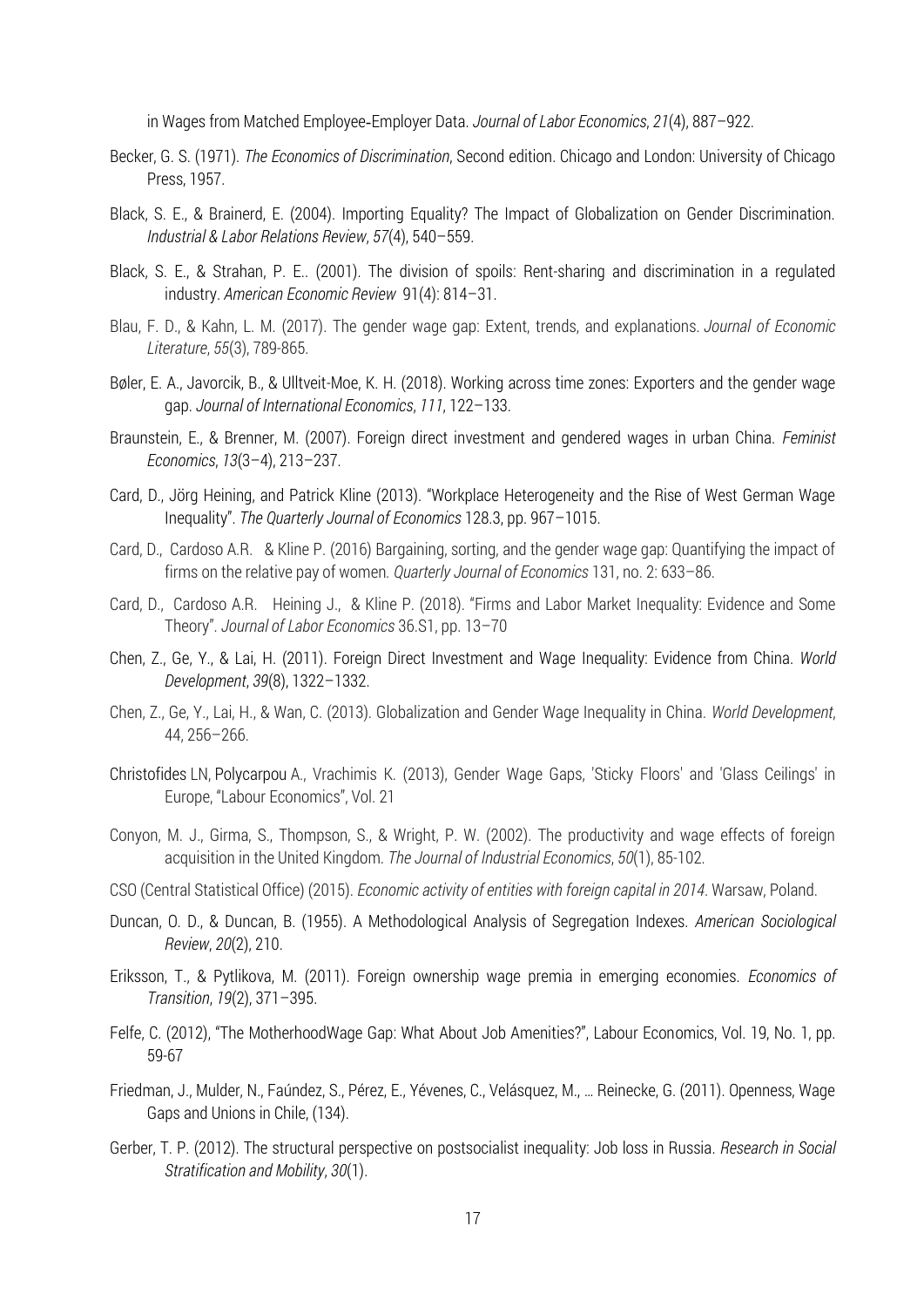in Wages from Matched Employee‐Employer Data. *Journal of Labor Economics*, *21*(4), 887–922.

- Becker, G. S. (1971). *The Economics of Discrimination*, Second edition. Chicago and London: University of Chicago Press, 1957.
- Black, S. E., & Brainerd, E. (2004). Importing Equality? The Impact of Globalization on Gender Discrimination. *Industrial & Labor Relations Review*, *57*(4), 540–559.
- Black, S. E., & Strahan, P. E.. (2001). The division of spoils: Rent-sharing and discrimination in a regulated industry. *American Economic Review* 91(4): 814–31.
- Blau, F. D., & Kahn, L. M. (2017). The gender wage gap: Extent, trends, and explanations. *Journal of Economic Literature*, *55*(3), 789-865.
- Bøler, E. A., Javorcik, B., & Ulltveit-Moe, K. H. (2018). Working across time zones: Exporters and the gender wage gap. *Journal of International Economics*, *111*, 122–133.
- Braunstein, E., & Brenner, M. (2007). Foreign direct investment and gendered wages in urban China. *Feminist Economics*, *13*(3–4), 213–237.
- Card, D., Jörg Heining, and Patrick Kline (2013). "Workplace Heterogeneity and the Rise of West German Wage Inequality". *The Quarterly Journal of Economics* 128.3, pp. 967–1015.
- Card, D., Cardoso A.R. & Kline P. (2016) Bargaining, sorting, and the gender wage gap: Quantifying the impact of firms on the relative pay of women*. Quarterly Journal of Economics* 131, no. 2: 633–86.
- Card, D., Cardoso A.R. Heining J., & Kline P. (2018). "Firms and Labor Market Inequality: Evidence and Some Theory". *Journal of Labor Economics* 36.S1, pp. 13–70
- Chen, Z., Ge, Y., & Lai, H. (2011). Foreign Direct Investment and Wage Inequality: Evidence from China. *World Development*, *39*(8), 1322–1332.
- Chen, Z., Ge, Y., Lai, H., & Wan, C. (2013). Globalization and Gender Wage Inequality in China. *World Development*, 44, 256–266.
- Christofides LN, Polycarpou A., Vrachimis K. (2013), Gender Wage Gaps, 'Sticky Floors' and 'Glass Ceilings' in Europe, "Labour Economics", Vol. 21
- Conyon, M. J., Girma, S., Thompson, S., & Wright, P. W. (2002). The productivity and wage effects of foreign acquisition in the United Kingdom. *The Journal of Industrial Economics*, *50*(1), 85-102.
- CSO (Central Statistical Office) (2015). *Economic activity of entities with foreign capital in 2014*. Warsaw, Poland.
- Duncan, O. D., & Duncan, B. (1955). A Methodological Analysis of Segregation Indexes. *American Sociological Review*, *20*(2), 210.
- Eriksson, T., & Pytlikova, M. (2011). Foreign ownership wage premia in emerging economies. *Economics of Transition*, *19*(2), 371–395.
- Felfe, C. (2012), "The MotherhoodWage Gap: What About Job Amenities?", Labour Economics, Vol. 19, No. 1, pp. 59-67
- Friedman, J., Mulder, N., Faúndez, S., Pérez, E., Yévenes, C., Velásquez, M., … Reinecke, G. (2011). Openness, Wage Gaps and Unions in Chile, (134).
- Gerber, T. P. (2012). The structural perspective on postsocialist inequality: Job loss in Russia. *Research in Social Stratification and Mobility*, *30*(1).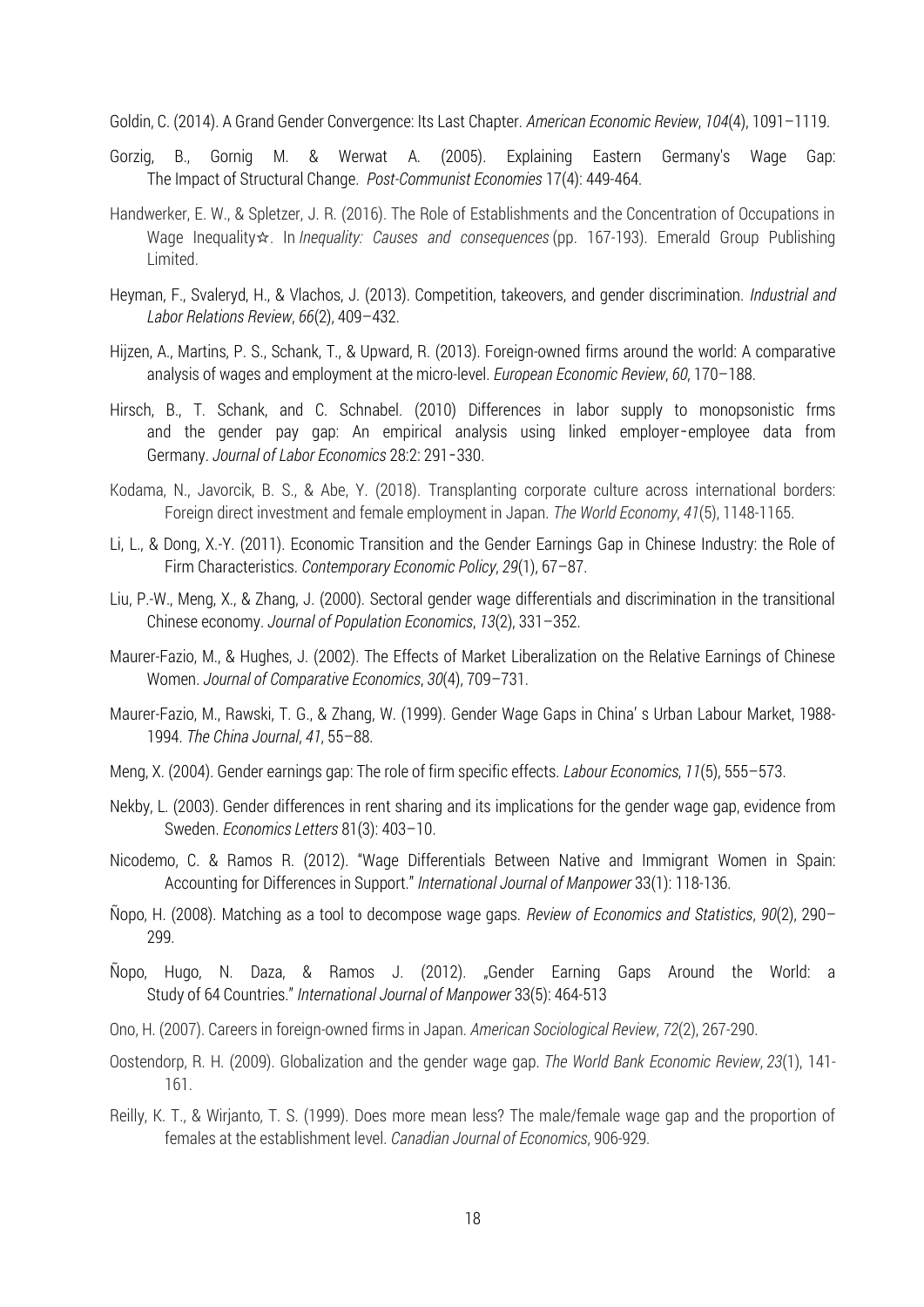Goldin, C. (2014). A Grand Gender Convergence: Its Last Chapter. *American Economic Review*, *104*(4), 1091–1119.

- Gorzig, B., Gornig M. & Werwat A. (2005). Explaining Eastern Germany's Wage Gap: The Impact of Structural Change. *Post-Communist Economies* 17(4): 449-464.
- Handwerker, E. W., & Spletzer, J. R. (2016). The Role of Establishments and the Concentration of Occupations in Wage Inequality☆. In *Inequality: Causes and consequences* (pp. 167-193). Emerald Group Publishing Limited.
- Heyman, F., Svaleryd, H., & Vlachos, J. (2013). Competition, takeovers, and gender discrimination. *Industrial and Labor Relations Review*, *66*(2), 409–432.
- Hijzen, A., Martins, P. S., Schank, T., & Upward, R. (2013). Foreign-owned firms around the world: A comparative analysis of wages and employment at the micro-level. *European Economic Review*, *60*, 170–188.
- Hirsch, B., T. Schank, and C. Schnabel. (2010) Differences in labor supply to monopsonistic frms and the gender pay gap: An empirical analysis using linked employer–employee data from Germany. *Journal of Labor Economics* 28:2: 291–330.
- Kodama, N., Javorcik, B. S., & Abe, Y. (2018). Transplanting corporate culture across international borders: Foreign direct investment and female employment in Japan. *The World Economy*, *41*(5), 1148-1165.
- Li, L., & Dong, X.-Y. (2011). Economic Transition and the Gender Earnings Gap in Chinese Industry: the Role of Firm Characteristics. *Contemporary Economic Policy*, *29*(1), 67–87.
- Liu, P.-W., Meng, X., & Zhang, J. (2000). Sectoral gender wage differentials and discrimination in the transitional Chinese economy. *Journal of Population Economics*, *13*(2), 331–352.
- Maurer-Fazio, M., & Hughes, J. (2002). The Effects of Market Liberalization on the Relative Earnings of Chinese Women. *Journal of Comparative Economics*, *30*(4), 709–731.
- Maurer-Fazio, M., Rawski, T. G., & Zhang, W. (1999). Gender Wage Gaps in China' s Urban Labour Market, 1988- 1994. *The China Journal*, *41*, 55–88.
- Meng, X. (2004). Gender earnings gap: The role of firm specific effects. *Labour Economics*, *11*(5), 555–573.
- Nekby, L. (2003). Gender differences in rent sharing and its implications for the gender wage gap, evidence from Sweden. *Economics Letters* 81(3): 403–10.
- Nicodemo, C. & Ramos R. (2012). "Wage Differentials Between Native and Immigrant Women in Spain: Accounting for Differences in Support." *International Journal of Manpower* 33(1): 118-136.
- Ñopo, H. (2008). Matching as a tool to decompose wage gaps. *Review of Economics and Statistics*, *90*(2), 290– 299.
- Ñopo, Hugo, N. Daza, & Ramos J. (2012). "Gender Earning Gaps Around the World: a Study of 64 Countries." *International Journal of Manpower* 33(5): 464-513
- Ono, H. (2007). Careers in foreign-owned firms in Japan. *American Sociological Review*, *72*(2), 267-290.
- Oostendorp, R. H. (2009). Globalization and the gender wage gap. *The World Bank Economic Review*, *23*(1), 141- 161.
- Reilly, K. T., & Wirjanto, T. S. (1999). Does more mean less? The male/female wage gap and the proportion of females at the establishment level. *Canadian Journal of Economics*, 906-929.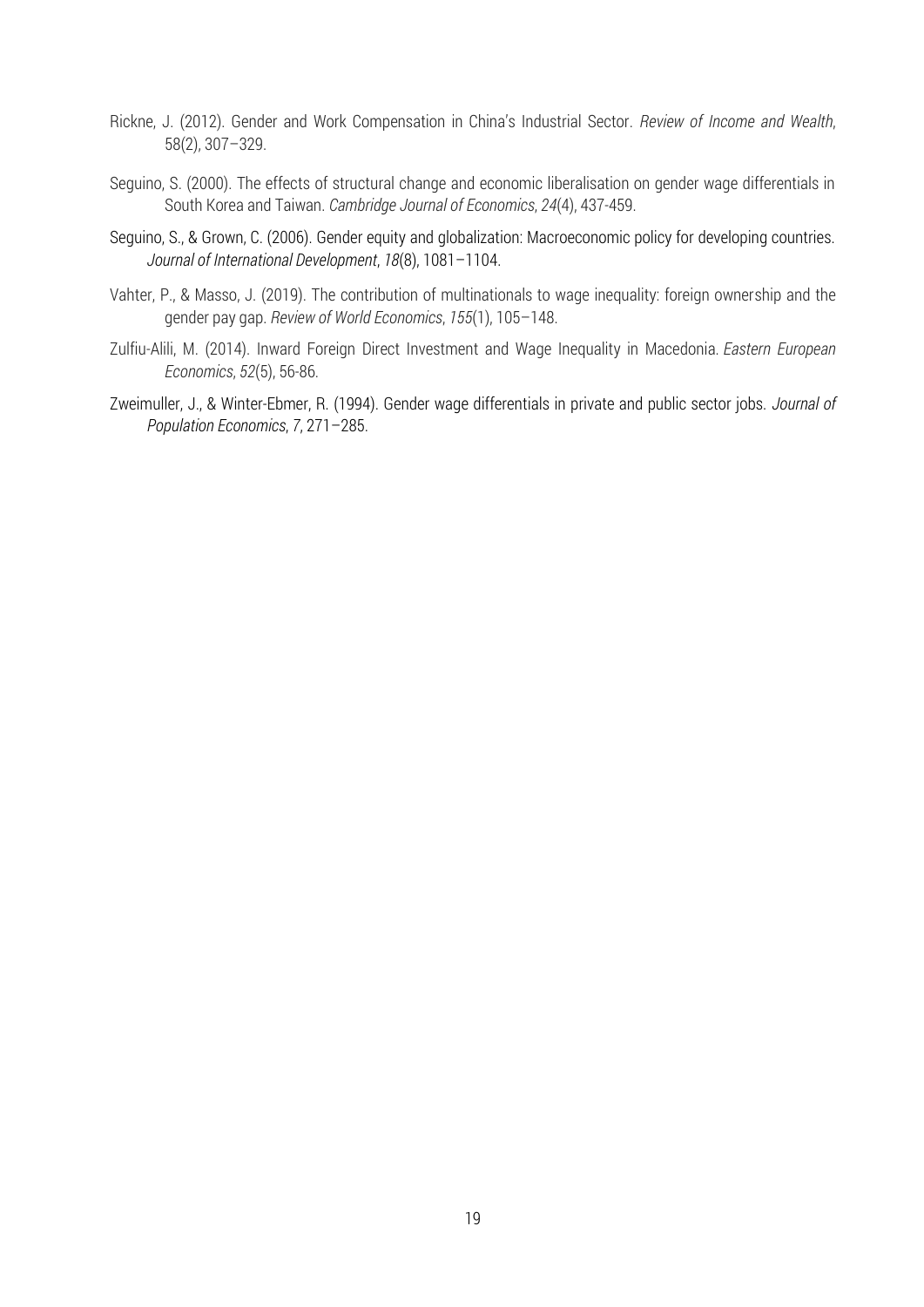- Rickne, J. (2012). Gender and Work Compensation in China's Industrial Sector. *Review of Income and Wealth*, 58(2), 307–329.
- Seguino, S. (2000). The effects of structural change and economic liberalisation on gender wage differentials in South Korea and Taiwan. *Cambridge Journal of Economics*, *24*(4), 437-459.
- Seguino, S., & Grown, C. (2006). Gender equity and globalization: Macroeconomic policy for developing countries. *Journal of International Development*, *18*(8), 1081–1104.
- Vahter, P., & Masso, J. (2019). The contribution of multinationals to wage inequality: foreign ownership and the gender pay gap. *Review of World Economics*, *155*(1), 105–148.
- Zulfiu-Alili, M. (2014). Inward Foreign Direct Investment and Wage Inequality in Macedonia. *Eastern European Economics*, *52*(5), 56-86.
- Zweimuller, J., & Winter-Ebmer, R. (1994). Gender wage differentials in private and public sector jobs. *Journal of Population Economics*, *7*, 271–285.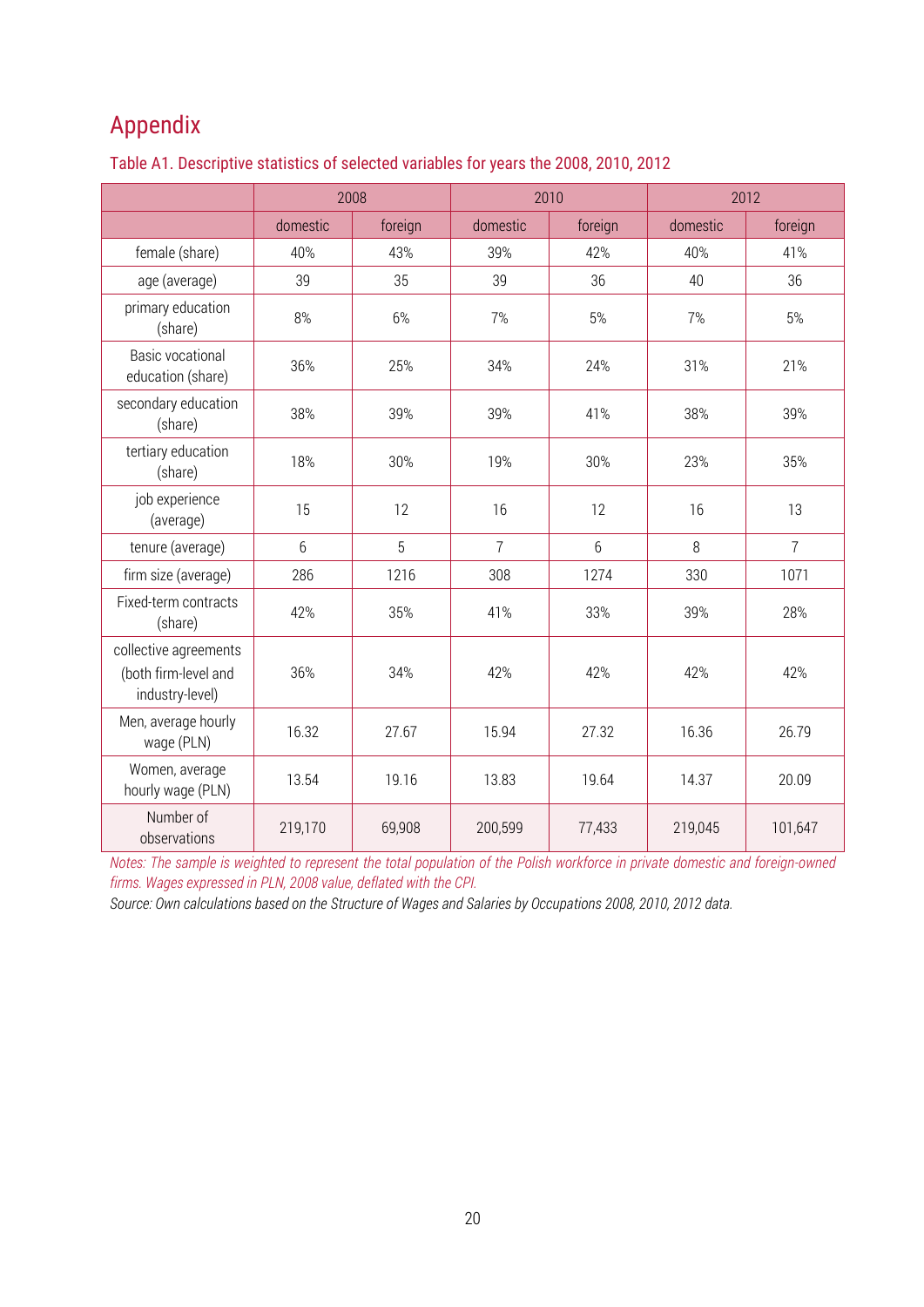# Appendix

|                                                                  |          | 2008    | 2010           |                | 2012     |                |
|------------------------------------------------------------------|----------|---------|----------------|----------------|----------|----------------|
|                                                                  | domestic | foreign | domestic       | foreign        | domestic | foreign        |
| female (share)                                                   | 40%      | 43%     | 39%            | 42%            | 40%      | 41%            |
| age (average)                                                    | 39       | 35      | 39             | 36             | 40       | 36             |
| primary education<br>(share)                                     | 8%       | 6%      | 7%             | 5%             | 7%       | 5%             |
| <b>Basic vocational</b><br>education (share)                     | 36%      | 25%     | 34%            | 24%            | 31%      | 21%            |
| secondary education<br>(share)                                   | 38%      | 39%     | 39%            | 41%            | 38%      | 39%            |
| tertiary education<br>(share)                                    | 18%      | 30%     | 19%            | 30%            | 23%      | 35%            |
| job experience<br>(average)                                      | 15       | 12      | 16             | 12             | 16       | 13             |
| tenure (average)                                                 | 6        | 5       | $\overline{7}$ | $6\phantom{1}$ | 8        | $\overline{7}$ |
| firm size (average)                                              | 286      | 1216    | 308            | 1274           | 330      | 1071           |
| Fixed-term contracts<br>(share)                                  | 42%      | 35%     | 41%            | 33%            | 39%      | 28%            |
| collective agreements<br>(both firm-level and<br>industry-level) | 36%      | 34%     | 42%            | 42%            | 42%      | 42%            |
| Men, average hourly<br>wage (PLN)                                | 16.32    | 27.67   | 15.94          | 27.32          | 16.36    | 26.79          |
| Women, average<br>hourly wage (PLN)                              | 13.54    | 19.16   | 13.83          | 19.64          | 14.37    | 20.09          |
| Number of<br>observations                                        | 219,170  | 69,908  | 200,599        | 77,433         | 219,045  | 101,647        |

Table A1. Descriptive statistics of selected variables for years the 2008, 2010, 2012

*Notes: The sample is weighted to represent the total population of the Polish workforce in private domestic and foreign-owned firms. Wages expressed in PLN, 2008 value, deflated with the CPI.* 

*Source: Own calculations based on the Structure of Wages and Salaries by Occupations 2008, 2010, 2012 data.*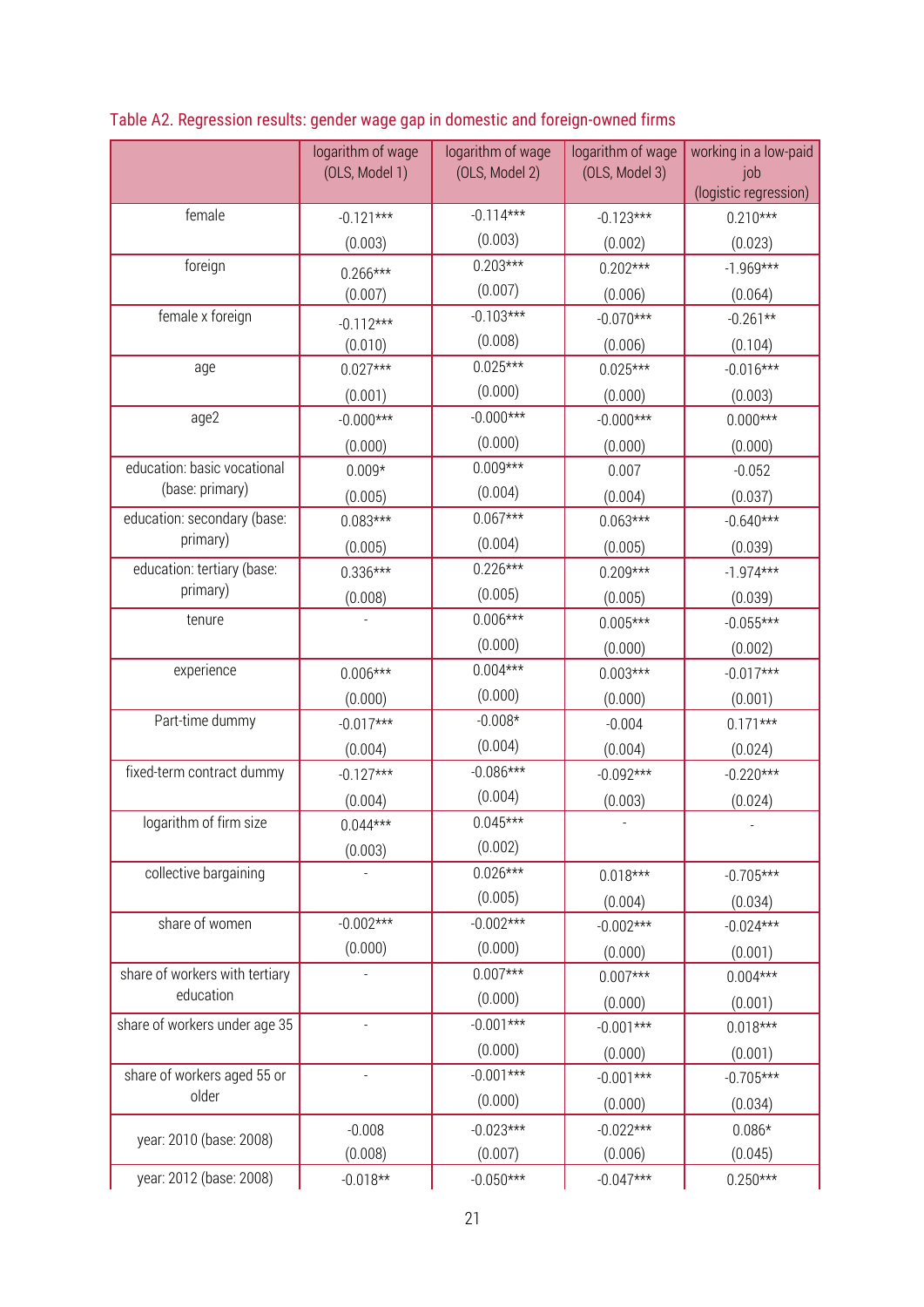|                                | logarithm of wage<br>(OLS, Model 1) | logarithm of wage<br>(OLS, Model 2) | logarithm of wage<br>(OLS, Model 3) | working in a low-paid<br>job<br>(logistic regression) |
|--------------------------------|-------------------------------------|-------------------------------------|-------------------------------------|-------------------------------------------------------|
| female                         | $-0.121***$                         | $-0.114***$                         | $-0.123***$                         | $0.210***$                                            |
|                                | (0.003)                             | (0.003)                             | (0.002)                             | (0.023)                                               |
| foreign                        | $0.266***$                          | $0.203***$                          | $0.202***$                          | $-1.969***$                                           |
|                                | (0.007)                             | (0.007)                             | (0.006)                             | (0.064)                                               |
| female x foreign               | $-0.112***$                         | $-0.103***$                         | $-0.070***$                         | $-0.261**$                                            |
|                                | (0.010)                             | (0.008)                             | (0.006)                             | (0.104)                                               |
| age                            | $0.027***$                          | $0.025***$                          | $0.025***$                          | $-0.016***$                                           |
|                                | (0.001)                             | (0.000)                             | (0.000)                             | (0.003)                                               |
| age2                           | $-0.000***$                         | $-0.000***$                         | $-0.000***$                         | $0.000***$                                            |
|                                | (0.000)                             | (0.000)                             | (0.000)                             | (0.000)                                               |
| education: basic vocational    | $0.009*$                            | $0.009***$                          | 0.007                               | $-0.052$                                              |
| (base: primary)                | (0.005)                             | (0.004)                             | (0.004)                             | (0.037)                                               |
| education: secondary (base:    | $0.083***$                          | $0.067***$                          | $0.063***$                          | $-0.640***$                                           |
| primary)                       | (0.005)                             | (0.004)                             | (0.005)                             | (0.039)                                               |
| education: tertiary (base:     | $0.336***$                          | $0.226***$                          | $0.209***$                          | $-1.974***$                                           |
| primary)                       | (0.008)                             | (0.005)                             | (0.005)                             | (0.039)                                               |
| tenure                         |                                     | $0.006***$                          | $0.005***$                          | $-0.055***$                                           |
|                                |                                     | (0.000)                             | (0.000)                             | (0.002)                                               |
| experience                     | $0.006***$                          | $0.004***$                          | $0.003***$                          | $-0.017***$                                           |
|                                | (0.000)                             | (0.000)                             | (0.000)                             | (0.001)                                               |
| Part-time dummy                | $-0.017***$                         | $-0.008*$                           | $-0.004$                            | $0.171***$                                            |
|                                | (0.004)                             | (0.004)                             | (0.004)                             | (0.024)                                               |
| fixed-term contract dummy      | $-0.127***$                         | $-0.086***$                         | $-0.092***$                         | $-0.220***$                                           |
|                                | (0.004)                             | (0.004)                             | (0.003)                             | (0.024)                                               |
| logarithm of firm size         | $0.044***$                          | $0.045***$                          |                                     |                                                       |
|                                | (0.003)                             | (0.002)                             |                                     |                                                       |
| collective bargaining          |                                     | $0.026***$                          | $0.018***$                          | $-0.705***$                                           |
|                                |                                     | (0.005)                             | (0.004)                             | (0.034)                                               |
| share of women                 | $-0.002***$                         | $-0.002***$                         | $-0.002***$                         | $-0.024***$                                           |
|                                | (0.000)                             | (0.000)                             | (0.000)                             | (0.001)                                               |
| share of workers with tertiary |                                     | $0.007***$                          | $0.007***$                          | $0.004***$                                            |
| education                      |                                     | (0.000)                             | (0.000)                             | (0.001)                                               |
| share of workers under age 35  | ÷                                   | $-0.001***$                         | $-0.001***$                         | $0.018***$                                            |
|                                |                                     | (0.000)                             | (0.000)                             | (0.001)                                               |
| share of workers aged 55 or    | ÷                                   | $-0.001***$                         | $-0.001***$                         | $-0.705***$                                           |
| older                          |                                     | (0.000)                             | (0.000)                             | (0.034)                                               |
| year: 2010 (base: 2008)        | $-0.008$                            | $-0.023***$                         | $-0.022***$                         | $0.086*$                                              |
|                                | (0.008)                             | (0.007)                             | (0.006)                             | (0.045)                                               |
| year: 2012 (base: 2008)        | $-0.018**$                          | $-0.050***$                         | $-0.047***$                         | $0.250***$                                            |

Table A2. Regression results: gender wage gap in domestic and foreign-owned firms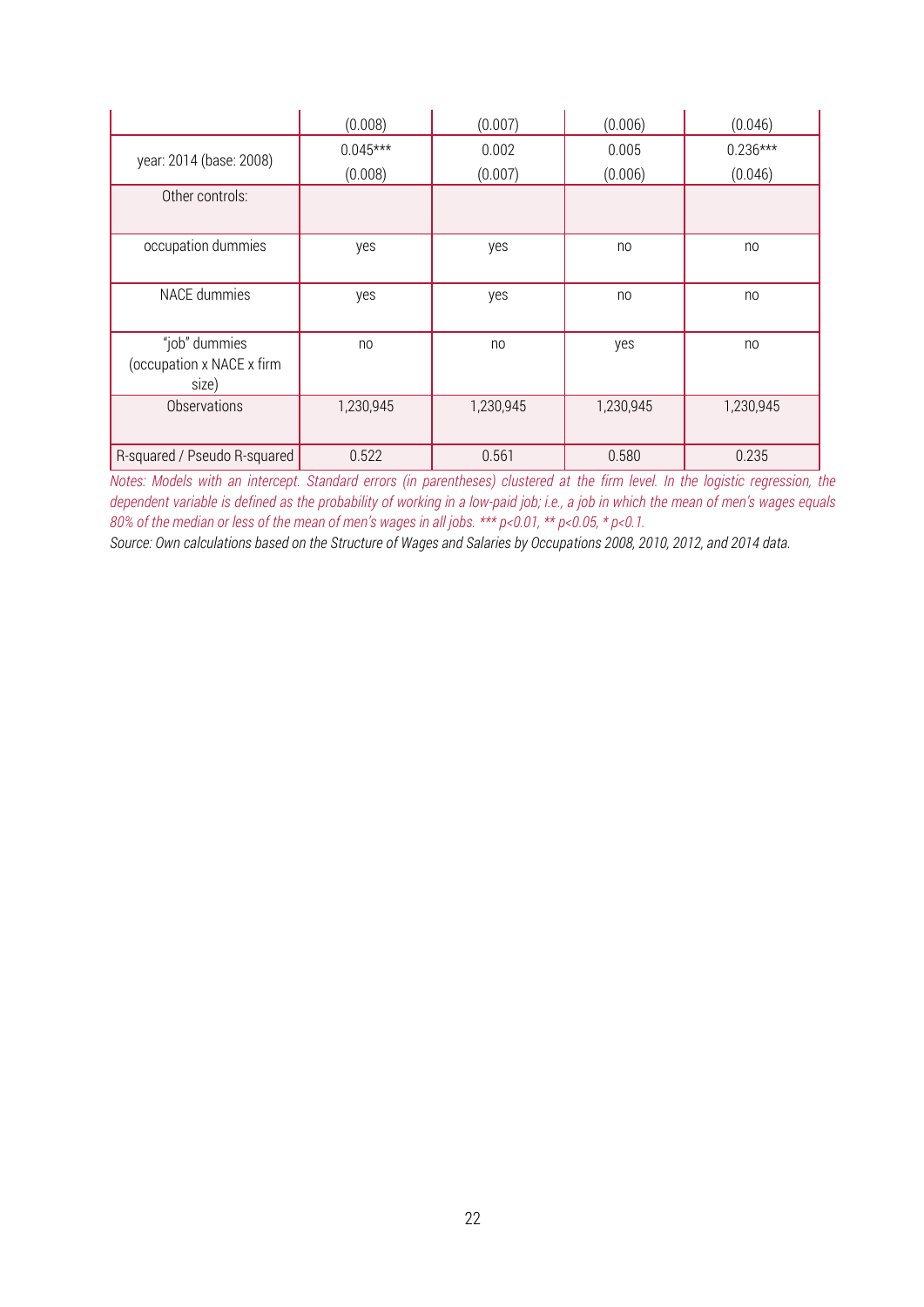|                                                     | (0.008)               | (0.007)          | (0.006)          | (0.046)               |
|-----------------------------------------------------|-----------------------|------------------|------------------|-----------------------|
| year: 2014 (base: 2008)                             | $0.045***$<br>(0.008) | 0.002<br>(0.007) | 0.005<br>(0.006) | $0.236***$<br>(0.046) |
| Other controls:                                     |                       |                  |                  |                       |
| occupation dummies                                  | yes                   | yes              | no               | no                    |
| <b>NACE</b> dummies                                 | yes                   | yes              | no               | no                    |
| "job" dummies<br>(occupation x NACE x firm<br>size) | no                    | no               | yes              | no                    |
| Observations                                        | 1,230,945             | 1,230,945        | 1,230,945        | 1,230,945             |
| R-squared / Pseudo R-squared                        | 0.522                 | 0.561            | 0.580            | 0.235                 |

*Notes: Models with an intercept. Standard errors (in parentheses) clustered at the firm level. In the logistic regression, the dependent variable is defined as the probability of working in a low-paid job; i.e., a job in which the mean of men's wages equals 80% of the median or less of the mean of men's wages in all jobs. \*\*\* p<0.01, \*\* p<0.05, \* p<0.1.*

*Source: Own calculations based on the Structure of Wages and Salaries by Occupations 2008, 2010, 2012, and 2014 data.*